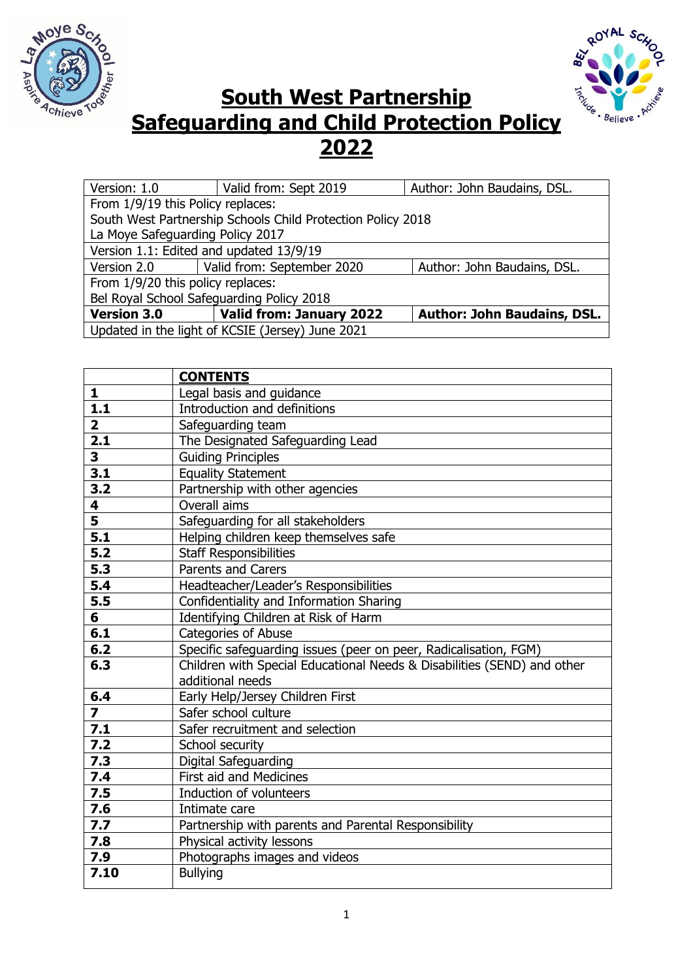



# **South West Partnership Safeguarding and Child Protection Policy 2022**

| Version: 1.0                                                | Valid from: Sept 2019           | Author: John Baudains, DSL.        |  |
|-------------------------------------------------------------|---------------------------------|------------------------------------|--|
| From 1/9/19 this Policy replaces:                           |                                 |                                    |  |
| South West Partnership Schools Child Protection Policy 2018 |                                 |                                    |  |
| La Moye Safeguarding Policy 2017                            |                                 |                                    |  |
| Version 1.1: Edited and updated 13/9/19                     |                                 |                                    |  |
| Version 2.0                                                 | Valid from: September 2020      | Author: John Baudains, DSL.        |  |
| From 1/9/20 this policy replaces:                           |                                 |                                    |  |
| Bel Royal School Safeguarding Policy 2018                   |                                 |                                    |  |
| <b>Version 3.0</b>                                          | <b>Valid from: January 2022</b> | <b>Author: John Baudains, DSL.</b> |  |
| Updated in the light of KCSIE (Jersey) June 2021            |                                 |                                    |  |

|                         | <b>CONTENTS</b>                                                         |
|-------------------------|-------------------------------------------------------------------------|
| $\mathbf{1}$            | Legal basis and guidance                                                |
| 1.1                     | Introduction and definitions                                            |
| $\overline{\mathbf{2}}$ | Safeguarding team                                                       |
| 2.1                     | The Designated Safeguarding Lead                                        |
| 3                       | <b>Guiding Principles</b>                                               |
| 3.1                     | <b>Equality Statement</b>                                               |
| 3.2                     | Partnership with other agencies                                         |
| 4                       | Overall aims                                                            |
| $\overline{\mathbf{5}}$ | Safeguarding for all stakeholders                                       |
| 5.1                     | Helping children keep themselves safe                                   |
| 5.2                     | <b>Staff Responsibilities</b>                                           |
| 5.3                     | <b>Parents and Carers</b>                                               |
| 5.4                     | Headteacher/Leader's Responsibilities                                   |
| 5.5                     | Confidentiality and Information Sharing                                 |
| 6                       | Identifying Children at Risk of Harm                                    |
| 6.1                     | Categories of Abuse                                                     |
| 6.2                     | Specific safeguarding issues (peer on peer, Radicalisation, FGM)        |
| 6.3                     | Children with Special Educational Needs & Disabilities (SEND) and other |
|                         | additional needs                                                        |
| 6.4                     | Early Help/Jersey Children First                                        |
| $\overline{\mathbf{z}}$ | Safer school culture                                                    |
| 7.1                     | Safer recruitment and selection                                         |
| 7.2                     | School security                                                         |
| 7.3                     | Digital Safeguarding                                                    |
| 7.4                     | First aid and Medicines                                                 |
| 7.5                     | Induction of volunteers                                                 |
| 7.6                     | Intimate care                                                           |
| 7.7                     | Partnership with parents and Parental Responsibility                    |
| 7.8                     | Physical activity lessons                                               |
| 7.9                     | Photographs images and videos                                           |
| 7.10                    | <b>Bullying</b>                                                         |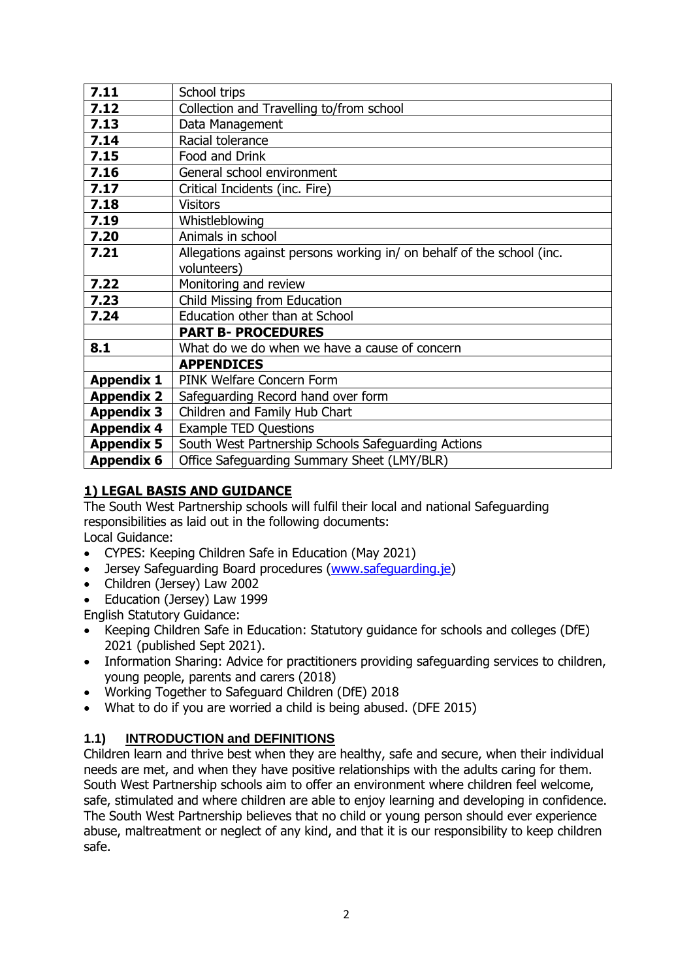| 7.11              | School trips                                                          |
|-------------------|-----------------------------------------------------------------------|
| 7.12              | Collection and Travelling to/from school                              |
| 7.13              | Data Management                                                       |
| 7.14              | Racial tolerance                                                      |
| 7.15              | Food and Drink                                                        |
| 7.16              | General school environment                                            |
| 7.17              | Critical Incidents (inc. Fire)                                        |
| 7.18              | <b>Visitors</b>                                                       |
| 7.19              | Whistleblowing                                                        |
| 7.20              | Animals in school                                                     |
| 7.21              | Allegations against persons working in/ on behalf of the school (inc. |
|                   | volunteers)                                                           |
| 7.22              | Monitoring and review                                                 |
| 7.23              | Child Missing from Education                                          |
| 7.24              | Education other than at School                                        |
|                   | <b>PART B- PROCEDURES</b>                                             |
| 8.1               | What do we do when we have a cause of concern                         |
|                   | <b>APPENDICES</b>                                                     |
| <b>Appendix 1</b> | PINK Welfare Concern Form                                             |
| <b>Appendix 2</b> | Safeguarding Record hand over form                                    |
| <b>Appendix 3</b> | Children and Family Hub Chart                                         |
| <b>Appendix 4</b> | <b>Example TED Questions</b>                                          |
| <b>Appendix 5</b> | South West Partnership Schools Safeguarding Actions                   |
| <b>Appendix 6</b> | Office Safeguarding Summary Sheet (LMY/BLR)                           |

# **1) LEGAL BASIS AND GUIDANCE**

The South West Partnership schools will fulfil their local and national Safeguarding responsibilities as laid out in the following documents: Local Guidance:

- CYPES: Keeping Children Safe in Education (May 2021)
- Jersey Safeguarding Board procedures [\(www.safeguarding.je\)](http://www.safeguarding.je/)
- Children (Jersey) Law 2002
- Education (Jersey) Law 1999

English Statutory Guidance:

- Keeping Children Safe in Education: Statutory guidance for schools and colleges (DfE) 2021 (published Sept 2021).
- Information Sharing: Advice for practitioners providing safeguarding services to children, young people, parents and carers (2018)
- Working Together to Safeguard Children (DfE) 2018
- What to do if you are worried a child is being abused. (DFE 2015)

# **1.1) INTRODUCTION and DEFINITIONS**

Children learn and thrive best when they are healthy, safe and secure, when their individual needs are met, and when they have positive relationships with the adults caring for them. South West Partnership schools aim to offer an environment where children feel welcome, safe, stimulated and where children are able to enjoy learning and developing in confidence. The South West Partnership believes that no child or young person should ever experience abuse, maltreatment or neglect of any kind, and that it is our responsibility to keep children safe.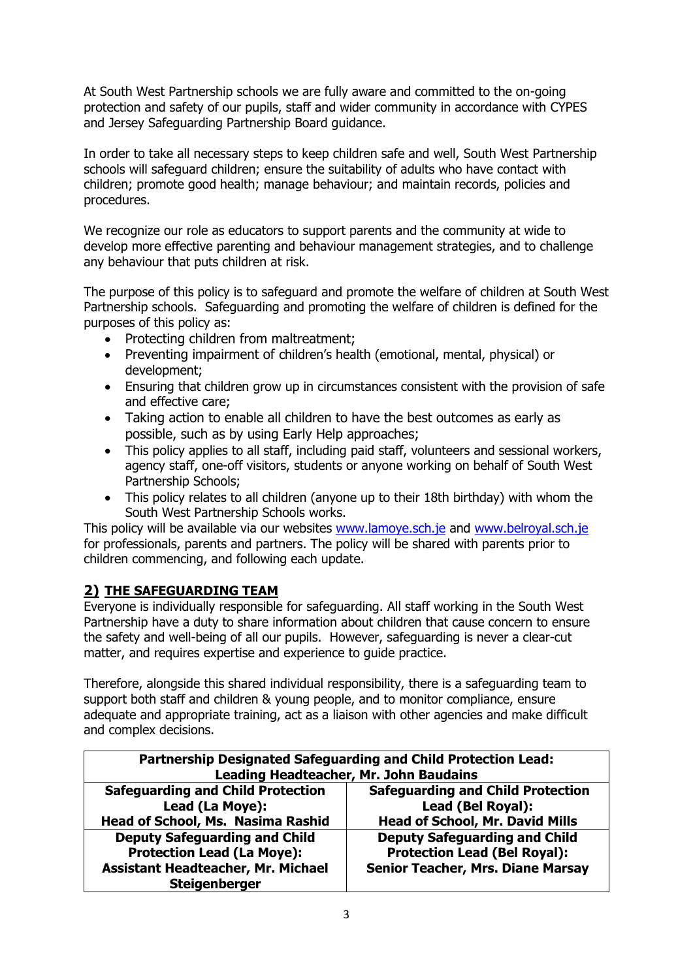At South West Partnership schools we are fully aware and committed to the on-going protection and safety of our pupils, staff and wider community in accordance with CYPES and Jersey Safeguarding Partnership Board guidance.

In order to take all necessary steps to keep children safe and well, South West Partnership schools will safeguard children; ensure the suitability of adults who have contact with children; promote good health; manage behaviour; and maintain records, policies and procedures.

We recognize our role as educators to support parents and the community at wide to develop more effective parenting and behaviour management strategies, and to challenge any behaviour that puts children at risk.

The purpose of this policy is to safeguard and promote the welfare of children at South West Partnership schools. Safeguarding and promoting the welfare of children is defined for the purposes of this policy as:

- Protecting children from maltreatment;
- Preventing impairment of children's health (emotional, mental, physical) or development;
- Ensuring that children grow up in circumstances consistent with the provision of safe and effective care;
- Taking action to enable all children to have the best outcomes as early as possible, such as by using Early Help approaches;
- This policy applies to all staff, including paid staff, volunteers and sessional workers, agency staff, one-off visitors, students or anyone working on behalf of South West Partnership Schools;
- This policy relates to all children (anyone up to their 18th birthday) with whom the South West Partnership Schools works.

This policy will be available via our websites [www.lamoye.sch.je](http://www.lamoye.sch.je/) and www.belroyal.sch.je for professionals, parents and partners. The policy will be shared with parents prior to children commencing, and following each update.

# **2) THE SAFEGUARDING TEAM**

Everyone is individually responsible for safeguarding. All staff working in the South West Partnership have a duty to share information about children that cause concern to ensure the safety and well-being of all our pupils. However, safeguarding is never a clear-cut matter, and requires expertise and experience to guide practice.

Therefore, alongside this shared individual responsibility, there is a safeguarding team to support both staff and children & young people, and to monitor compliance, ensure adequate and appropriate training, act as a liaison with other agencies and make difficult and complex decisions.

| Partnership Designated Safeguarding and Child Protection Lead: |                                          |  |
|----------------------------------------------------------------|------------------------------------------|--|
| <b>Leading Headteacher, Mr. John Baudains</b>                  |                                          |  |
| <b>Safeguarding and Child Protection</b>                       | <b>Safeguarding and Child Protection</b> |  |
| Lead (La Moye):                                                | Lead (Bel Royal):                        |  |
| <b>Head of School, Ms. Nasima Rashid</b>                       | <b>Head of School, Mr. David Mills</b>   |  |
| <b>Deputy Safeguarding and Child</b>                           | <b>Deputy Safeguarding and Child</b>     |  |
| <b>Protection Lead (La Moye):</b>                              | <b>Protection Lead (Bel Royal):</b>      |  |
| Assistant Headteacher, Mr. Michael                             | <b>Senior Teacher, Mrs. Diane Marsay</b> |  |
| <b>Steigenberger</b>                                           |                                          |  |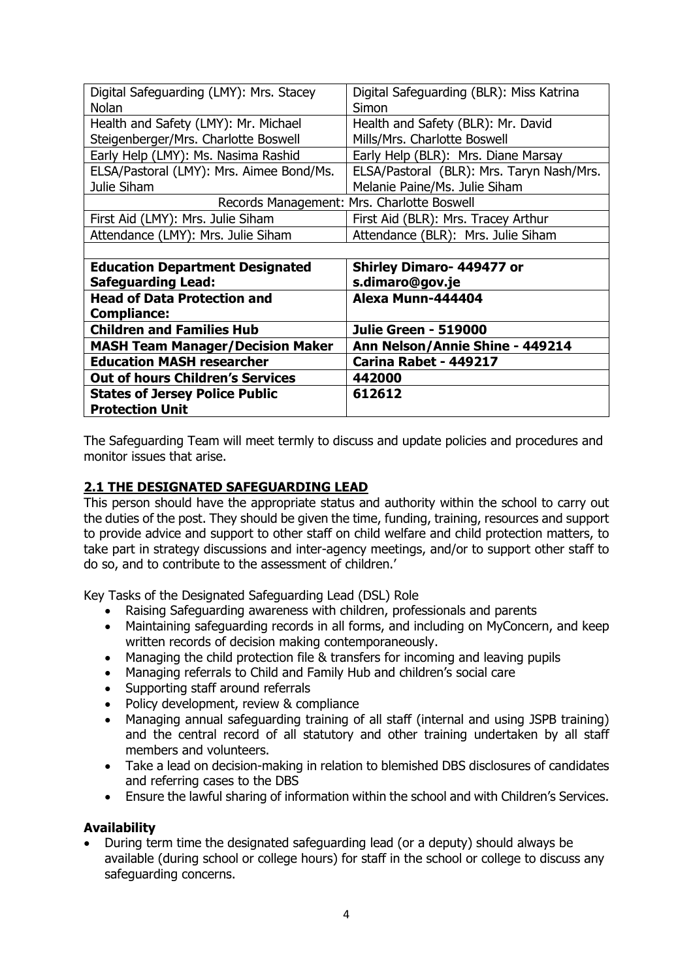| Digital Safeguarding (LMY): Mrs. Stacey<br><b>Nolan</b> | Digital Safeguarding (BLR): Miss Katrina<br>Simon |  |
|---------------------------------------------------------|---------------------------------------------------|--|
| Health and Safety (LMY): Mr. Michael                    | Health and Safety (BLR): Mr. David                |  |
| Steigenberger/Mrs. Charlotte Boswell                    | Mills/Mrs. Charlotte Boswell                      |  |
| Early Help (LMY): Ms. Nasima Rashid                     | Early Help (BLR): Mrs. Diane Marsay               |  |
| ELSA/Pastoral (LMY): Mrs. Aimee Bond/Ms.                | ELSA/Pastoral (BLR): Mrs. Taryn Nash/Mrs.         |  |
| Julie Siham                                             | Melanie Paine/Ms. Julie Siham                     |  |
| Records Management: Mrs. Charlotte Boswell              |                                                   |  |
| First Aid (LMY): Mrs. Julie Siham                       | First Aid (BLR): Mrs. Tracey Arthur               |  |
| Attendance (LMY): Mrs. Julie Siham                      | Attendance (BLR): Mrs. Julie Siham                |  |
|                                                         |                                                   |  |
|                                                         |                                                   |  |
| <b>Education Department Designated</b>                  | <b>Shirley Dimaro- 449477 or</b>                  |  |
| <b>Safeguarding Lead:</b>                               | s.dimaro@gov.je                                   |  |
| <b>Head of Data Protection and</b>                      | Alexa Munn-444404                                 |  |
| <b>Compliance:</b>                                      |                                                   |  |
| <b>Children and Families Hub</b>                        | <b>Julie Green - 519000</b>                       |  |
| <b>MASH Team Manager/Decision Maker</b>                 | Ann Nelson/Annie Shine - 449214                   |  |
| <b>Education MASH researcher</b>                        | Carina Rabet - 449217                             |  |
| <b>Out of hours Children's Services</b>                 | 442000                                            |  |
| <b>States of Jersey Police Public</b>                   | 612612                                            |  |
| <b>Protection Unit</b>                                  |                                                   |  |

The Safeguarding Team will meet termly to discuss and update policies and procedures and monitor issues that arise.

#### **2.1 THE DESIGNATED SAFEGUARDING LEAD**

This person should have the appropriate status and authority within the school to carry out the duties of the post. They should be given the time, funding, training, resources and support to provide advice and support to other staff on child welfare and child protection matters, to take part in strategy discussions and inter-agency meetings, and/or to support other staff to do so, and to contribute to the assessment of children.'

Key Tasks of the Designated Safeguarding Lead (DSL) Role

- Raising Safeguarding awareness with children, professionals and parents
- Maintaining safeguarding records in all forms, and including on MyConcern, and keep written records of decision making contemporaneously.
- Managing the child protection file & transfers for incoming and leaving pupils
- Managing referrals to Child and Family Hub and children's social care
- Supporting staff around referrals
- Policy development, review & compliance
- Managing annual safeguarding training of all staff (internal and using JSPB training) and the central record of all statutory and other training undertaken by all staff members and volunteers.
- Take a lead on decision-making in relation to blemished DBS disclosures of candidates and referring cases to the DBS
- Ensure the lawful sharing of information within the school and with Children's Services.

#### **Availability**

• During term time the designated safeguarding lead (or a deputy) should always be available (during school or college hours) for staff in the school or college to discuss any safeguarding concerns.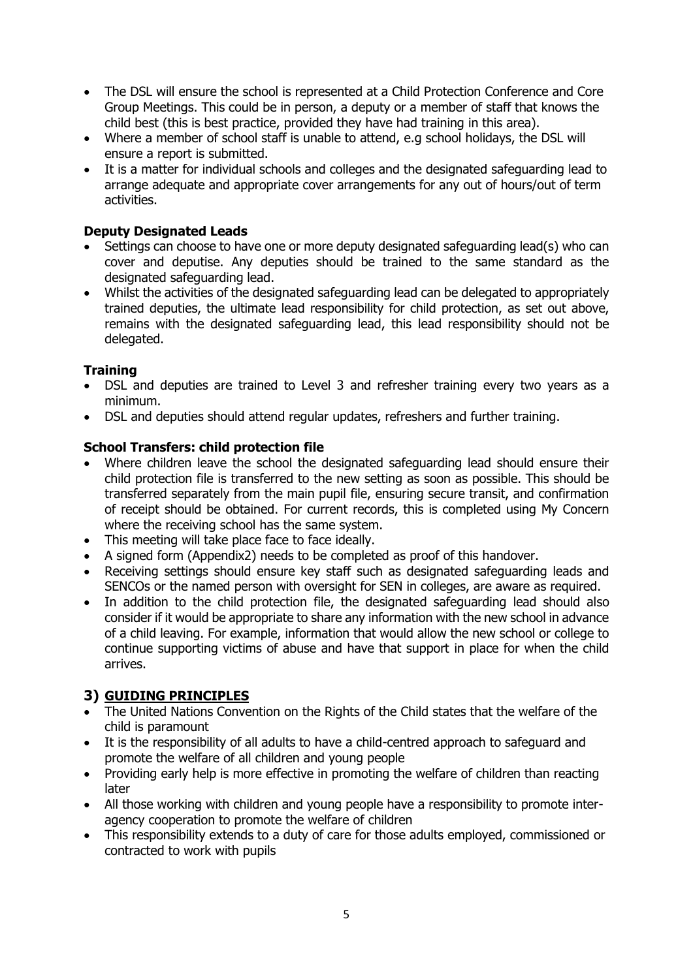- The DSL will ensure the school is represented at a Child Protection Conference and Core Group Meetings. This could be in person, a deputy or a member of staff that knows the child best (this is best practice, provided they have had training in this area).
- Where a member of school staff is unable to attend, e.g school holidays, the DSL will ensure a report is submitted.
- It is a matter for individual schools and colleges and the designated safeguarding lead to arrange adequate and appropriate cover arrangements for any out of hours/out of term activities.

#### **Deputy Designated Leads**

- Settings can choose to have one or more deputy designated safeguarding lead(s) who can cover and deputise. Any deputies should be trained to the same standard as the designated safeguarding lead.
- Whilst the activities of the designated safeguarding lead can be delegated to appropriately trained deputies, the ultimate lead responsibility for child protection, as set out above, remains with the designated safeguarding lead, this lead responsibility should not be delegated.

#### **Training**

- DSL and deputies are trained to Level 3 and refresher training every two years as a minimum.
- DSL and deputies should attend regular updates, refreshers and further training.

#### **School Transfers: child protection file**

- Where children leave the school the designated safeguarding lead should ensure their child protection file is transferred to the new setting as soon as possible. This should be transferred separately from the main pupil file, ensuring secure transit, and confirmation of receipt should be obtained. For current records, this is completed using My Concern where the receiving school has the same system.
- This meeting will take place face to face ideally.
- A signed form (Appendix2) needs to be completed as proof of this handover.
- Receiving settings should ensure key staff such as designated safeguarding leads and SENCOs or the named person with oversight for SEN in colleges, are aware as required.
- In addition to the child protection file, the designated safeguarding lead should also consider if it would be appropriate to share any information with the new school in advance of a child leaving. For example, information that would allow the new school or college to continue supporting victims of abuse and have that support in place for when the child arrives.

# **3) GUIDING PRINCIPLES**

- The United Nations Convention on the Rights of the Child states that the welfare of the child is paramount
- It is the responsibility of all adults to have a child-centred approach to safeguard and promote the welfare of all children and young people
- Providing early help is more effective in promoting the welfare of children than reacting later
- All those working with children and young people have a responsibility to promote interagency cooperation to promote the welfare of children
- This responsibility extends to a duty of care for those adults employed, commissioned or contracted to work with pupils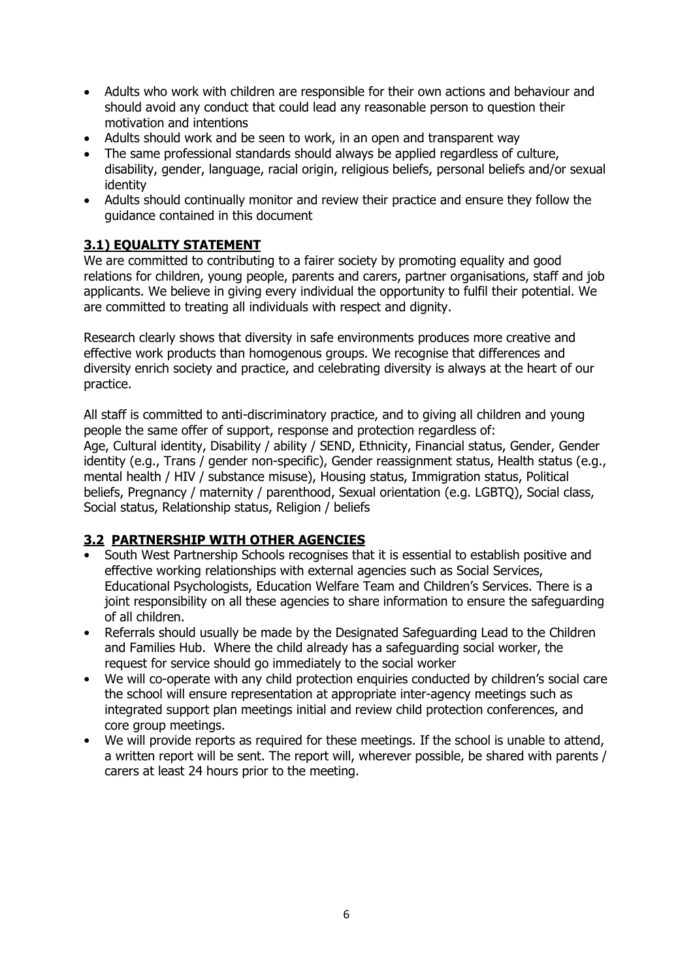- Adults who work with children are responsible for their own actions and behaviour and should avoid any conduct that could lead any reasonable person to question their motivation and intentions
- Adults should work and be seen to work, in an open and transparent way
- The same professional standards should always be applied regardless of culture, disability, gender, language, racial origin, religious beliefs, personal beliefs and/or sexual identity
- Adults should continually monitor and review their practice and ensure they follow the guidance contained in this document

#### **3.1) EQUALITY STATEMENT**

We are committed to contributing to a fairer society by promoting equality and good relations for children, young people, parents and carers, partner organisations, staff and job applicants. We believe in giving every individual the opportunity to fulfil their potential. We are committed to treating all individuals with respect and dignity.

Research clearly shows that diversity in safe environments produces more creative and effective work products than homogenous groups. We recognise that differences and diversity enrich society and practice, and celebrating diversity is always at the heart of our practice.

All staff is committed to anti-discriminatory practice, and to giving all children and young people the same offer of support, response and protection regardless of: Age, Cultural identity, Disability / ability / SEND, Ethnicity, Financial status, Gender, Gender identity (e.g., Trans / gender non-specific), Gender reassignment status, Health status (e.g., mental health / HIV / substance misuse), Housing status, Immigration status, Political beliefs, Pregnancy / maternity / parenthood, Sexual orientation (e.g. LGBTQ), Social class, Social status, Relationship status, Religion / beliefs

#### **3.2 PARTNERSHIP WITH OTHER AGENCIES**

- South West Partnership Schools recognises that it is essential to establish positive and effective working relationships with external agencies such as Social Services, Educational Psychologists, Education Welfare Team and Children's Services. There is a joint responsibility on all these agencies to share information to ensure the safeguarding of all children.
- Referrals should usually be made by the Designated Safeguarding Lead to the Children and Families Hub. Where the child already has a safeguarding social worker, the request for service should go immediately to the social worker
- We will co-operate with any child protection enquiries conducted by children's social care the school will ensure representation at appropriate inter-agency meetings such as integrated support plan meetings initial and review child protection conferences, and core group meetings.
- We will provide reports as required for these meetings. If the school is unable to attend, a written report will be sent. The report will, wherever possible, be shared with parents / carers at least 24 hours prior to the meeting.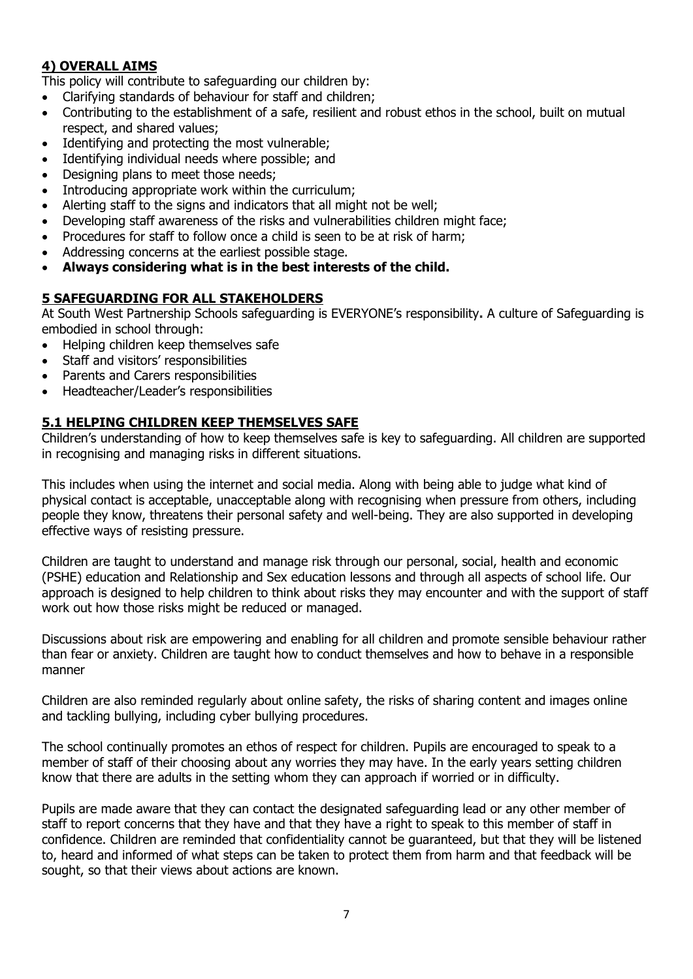# **4) OVERALL AIMS**

This policy will contribute to safeguarding our children by:

- Clarifying standards of behaviour for staff and children;
- Contributing to the establishment of a safe, resilient and robust ethos in the school, built on mutual respect, and shared values;
- Identifying and protecting the most vulnerable;
- Identifying individual needs where possible; and
- Designing plans to meet those needs;
- Introducing appropriate work within the curriculum;
- Alerting staff to the signs and indicators that all might not be well;
- Developing staff awareness of the risks and vulnerabilities children might face;
- Procedures for staff to follow once a child is seen to be at risk of harm;
- Addressing concerns at the earliest possible stage.
- **Always considering what is in the best interests of the child.**

#### **5 SAFEGUARDING FOR ALL STAKEHOLDERS**

At South West Partnership Schools safeguarding is EVERYONE's responsibility**.** A culture of Safeguarding is embodied in school through:

- Helping children keep themselves safe
- Staff and visitors' responsibilities
- Parents and Carers responsibilities
- Headteacher/Leader's responsibilities

#### **5.1 HELPING CHILDREN KEEP THEMSELVES SAFE**

Children's understanding of how to keep themselves safe is key to safeguarding. All children are supported in recognising and managing risks in different situations.

This includes when using the internet and social media. Along with being able to judge what kind of physical contact is acceptable, unacceptable along with recognising when pressure from others, including people they know, threatens their personal safety and well-being. They are also supported in developing effective ways of resisting pressure.

Children are taught to understand and manage risk through our personal, social, health and economic (PSHE) education and Relationship and Sex education lessons and through all aspects of school life. Our approach is designed to help children to think about risks they may encounter and with the support of staff work out how those risks might be reduced or managed.

Discussions about risk are empowering and enabling for all children and promote sensible behaviour rather than fear or anxiety. Children are taught how to conduct themselves and how to behave in a responsible manner

Children are also reminded regularly about online safety, the risks of sharing content and images online and tackling bullying, including cyber bullying procedures.

The school continually promotes an ethos of respect for children. Pupils are encouraged to speak to a member of staff of their choosing about any worries they may have. In the early years setting children know that there are adults in the setting whom they can approach if worried or in difficulty.

Pupils are made aware that they can contact the designated safeguarding lead or any other member of staff to report concerns that they have and that they have a right to speak to this member of staff in confidence. Children are reminded that confidentiality cannot be guaranteed, but that they will be listened to, heard and informed of what steps can be taken to protect them from harm and that feedback will be sought, so that their views about actions are known.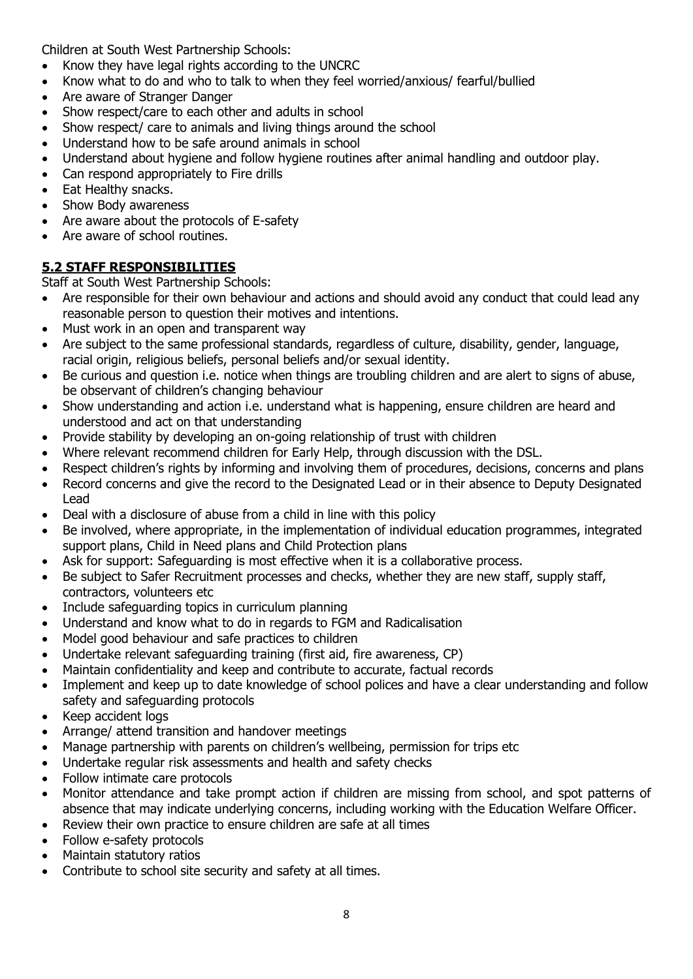Children at South West Partnership Schools:

- Know they have legal rights according to the UNCRC
- Know what to do and who to talk to when they feel worried/anxious/ fearful/bullied
- Are aware of Stranger Danger
- Show respect/care to each other and adults in school
- Show respect/ care to animals and living things around the school
- Understand how to be safe around animals in school
- Understand about hygiene and follow hygiene routines after animal handling and outdoor play.
- Can respond appropriately to Fire drills
- Eat Healthy snacks.
- Show Body awareness
- Are aware about the protocols of E-safety
- Are aware of school routines.

#### **5.2 STAFF RESPONSIBILITIES**

Staff at South West Partnership Schools:

- Are responsible for their own behaviour and actions and should avoid any conduct that could lead any reasonable person to question their motives and intentions.
- Must work in an open and transparent way
- Are subject to the same professional standards, regardless of culture, disability, gender, language, racial origin, religious beliefs, personal beliefs and/or sexual identity.
- Be curious and question i.e. notice when things are troubling children and are alert to signs of abuse, be observant of children's changing behaviour
- Show understanding and action i.e. understand what is happening, ensure children are heard and understood and act on that understanding
- Provide stability by developing an on-going relationship of trust with children
- Where relevant recommend children for Early Help, through discussion with the DSL.
- Respect children's rights by informing and involving them of procedures, decisions, concerns and plans
- Record concerns and give the record to the Designated Lead or in their absence to Deputy Designated Lead
- Deal with a disclosure of abuse from a child in line with this policy
- Be involved, where appropriate, in the implementation of individual education programmes, integrated support plans, Child in Need plans and Child Protection plans
- Ask for support: Safeguarding is most effective when it is a collaborative process.
- Be subject to Safer Recruitment processes and checks, whether they are new staff, supply staff, contractors, volunteers etc
- Include safeguarding topics in curriculum planning
- Understand and know what to do in regards to FGM and Radicalisation
- Model good behaviour and safe practices to children
- Undertake relevant safeguarding training (first aid, fire awareness, CP)
- Maintain confidentiality and keep and contribute to accurate, factual records
- Implement and keep up to date knowledge of school polices and have a clear understanding and follow safety and safeguarding protocols
- Keep accident logs
- Arrange/ attend transition and handover meetings
- Manage partnership with parents on children's wellbeing, permission for trips etc
- Undertake regular risk assessments and health and safety checks
- Follow intimate care protocols
- Monitor attendance and take prompt action if children are missing from school, and spot patterns of absence that may indicate underlying concerns, including working with the Education Welfare Officer.
- Review their own practice to ensure children are safe at all times
- Follow e-safety protocols
- Maintain statutory ratios
- Contribute to school site security and safety at all times.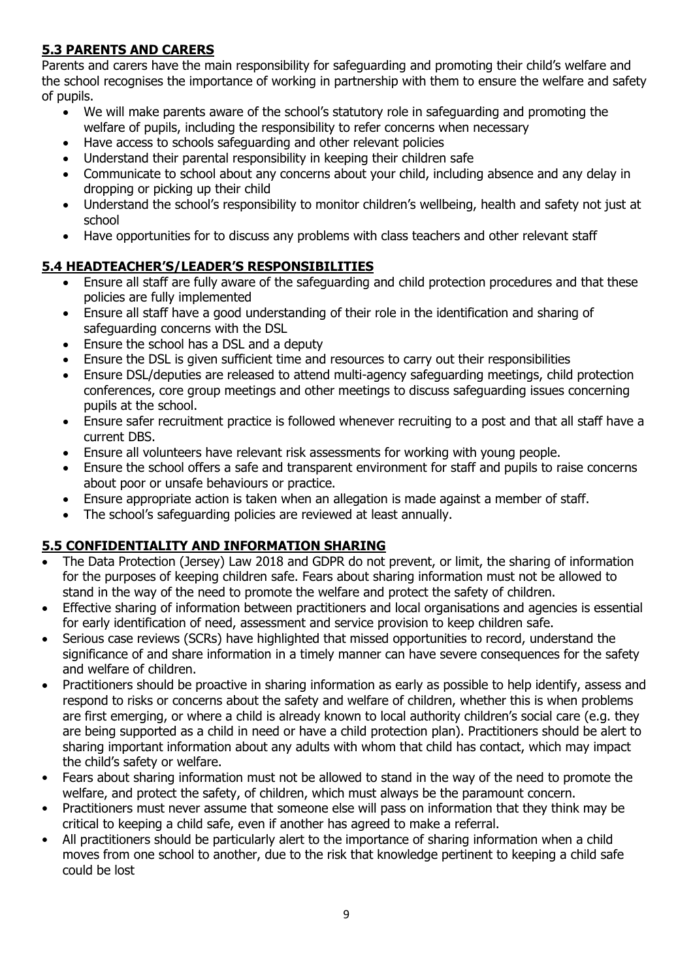# **5.3 PARENTS AND CARERS**

Parents and carers have the main responsibility for safeguarding and promoting their child's welfare and the school recognises the importance of working in partnership with them to ensure the welfare and safety of pupils.

- We will make parents aware of the school's statutory role in safeguarding and promoting the welfare of pupils, including the responsibility to refer concerns when necessary
- Have access to schools safeguarding and other relevant policies
- Understand their parental responsibility in keeping their children safe
- Communicate to school about any concerns about your child, including absence and any delay in dropping or picking up their child
- Understand the school's responsibility to monitor children's wellbeing, health and safety not just at school
- Have opportunities for to discuss any problems with class teachers and other relevant staff

# **5.4 HEADTEACHER'S/LEADER'S RESPONSIBILITIES**

- Ensure all staff are fully aware of the safeguarding and child protection procedures and that these policies are fully implemented
- Ensure all staff have a good understanding of their role in the identification and sharing of safeguarding concerns with the DSL
- Ensure the school has a DSL and a deputy
- Ensure the DSL is given sufficient time and resources to carry out their responsibilities
- Ensure DSL/deputies are released to attend multi-agency safeguarding meetings, child protection conferences, core group meetings and other meetings to discuss safeguarding issues concerning pupils at the school.
- Ensure safer recruitment practice is followed whenever recruiting to a post and that all staff have a current DBS.
- Ensure all volunteers have relevant risk assessments for working with young people.
- Ensure the school offers a safe and transparent environment for staff and pupils to raise concerns about poor or unsafe behaviours or practice.
- Ensure appropriate action is taken when an allegation is made against a member of staff.
- The school's safeguarding policies are reviewed at least annually.

# **5.5 CONFIDENTIALITY AND INFORMATION SHARING**

- The Data Protection (Jersey) Law 2018 and GDPR do not prevent, or limit, the sharing of information for the purposes of keeping children safe. Fears about sharing information must not be allowed to stand in the way of the need to promote the welfare and protect the safety of children.
- Effective sharing of information between practitioners and local organisations and agencies is essential for early identification of need, assessment and service provision to keep children safe.
- Serious case reviews (SCRs) have highlighted that missed opportunities to record, understand the significance of and share information in a timely manner can have severe consequences for the safety and welfare of children.
- Practitioners should be proactive in sharing information as early as possible to help identify, assess and respond to risks or concerns about the safety and welfare of children, whether this is when problems are first emerging, or where a child is already known to local authority children's social care (e.g. they are being supported as a child in need or have a child protection plan). Practitioners should be alert to sharing important information about any adults with whom that child has contact, which may impact the child's safety or welfare.
- Fears about sharing information must not be allowed to stand in the way of the need to promote the welfare, and protect the safety, of children, which must always be the paramount concern.
- Practitioners must never assume that someone else will pass on information that they think may be critical to keeping a child safe, even if another has agreed to make a referral.
- All practitioners should be particularly alert to the importance of sharing information when a child moves from one school to another, due to the risk that knowledge pertinent to keeping a child safe could be lost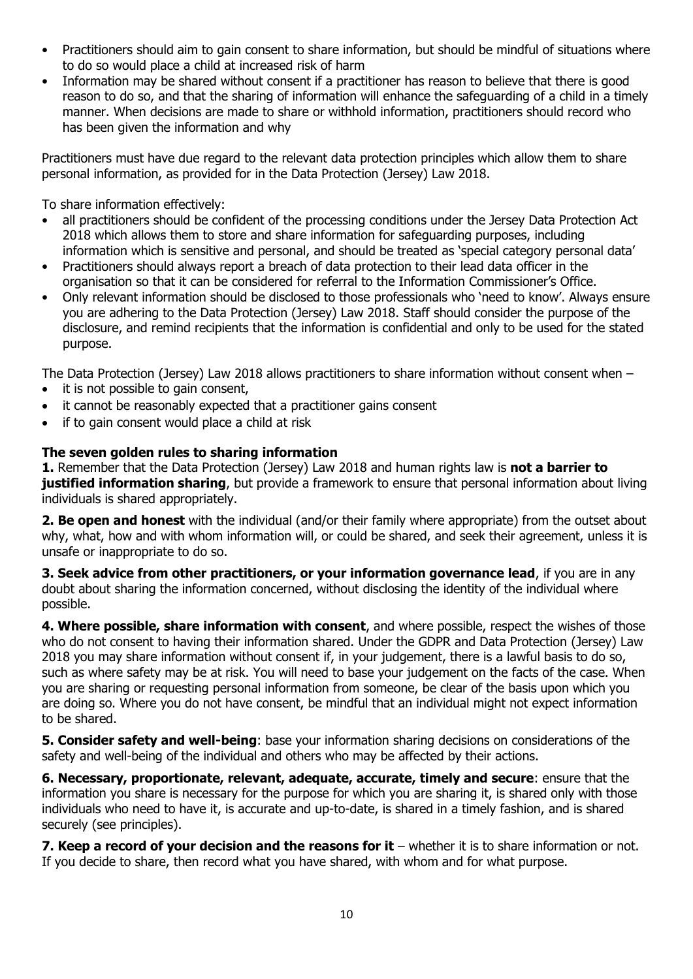- Practitioners should aim to gain consent to share information, but should be mindful of situations where to do so would place a child at increased risk of harm
- Information may be shared without consent if a practitioner has reason to believe that there is good reason to do so, and that the sharing of information will enhance the safeguarding of a child in a timely manner. When decisions are made to share or withhold information, practitioners should record who has been given the information and why

Practitioners must have due regard to the relevant data protection principles which allow them to share personal information, as provided for in the Data Protection (Jersey) Law 2018.

To share information effectively:

- all practitioners should be confident of the processing conditions under the Jersey Data Protection Act 2018 which allows them to store and share information for safeguarding purposes, including information which is sensitive and personal, and should be treated as 'special category personal data'
- Practitioners should always report a breach of data protection to their lead data officer in the organisation so that it can be considered for referral to the Information Commissioner's Office.
- Only relevant information should be disclosed to those professionals who 'need to know'. Always ensure you are adhering to the Data Protection (Jersey) Law 2018. Staff should consider the purpose of the disclosure, and remind recipients that the information is confidential and only to be used for the stated purpose.

The Data Protection (Jersey) Law 2018 allows practitioners to share information without consent when –

- it is not possible to gain consent,
- it cannot be reasonably expected that a practitioner gains consent
- if to gain consent would place a child at risk

#### **The seven golden rules to sharing information**

**1.** Remember that the Data Protection (Jersey) Law 2018 and human rights law is **not a barrier to justified information sharing**, but provide a framework to ensure that personal information about living individuals is shared appropriately.

**2. Be open and honest** with the individual (and/or their family where appropriate) from the outset about why, what, how and with whom information will, or could be shared, and seek their agreement, unless it is unsafe or inappropriate to do so.

**3. Seek advice from other practitioners, or your information governance lead**, if you are in any doubt about sharing the information concerned, without disclosing the identity of the individual where possible.

**4. Where possible, share information with consent**, and where possible, respect the wishes of those who do not consent to having their information shared. Under the GDPR and Data Protection (Jersey) Law 2018 you may share information without consent if, in your judgement, there is a lawful basis to do so, such as where safety may be at risk. You will need to base your judgement on the facts of the case. When you are sharing or requesting personal information from someone, be clear of the basis upon which you are doing so. Where you do not have consent, be mindful that an individual might not expect information to be shared.

**5. Consider safety and well-being**: base your information sharing decisions on considerations of the safety and well-being of the individual and others who may be affected by their actions.

**6. Necessary, proportionate, relevant, adequate, accurate, timely and secure**: ensure that the information you share is necessary for the purpose for which you are sharing it, is shared only with those individuals who need to have it, is accurate and up-to-date, is shared in a timely fashion, and is shared securely (see principles).

**7. Keep a record of your decision and the reasons for it** – whether it is to share information or not. If you decide to share, then record what you have shared, with whom and for what purpose.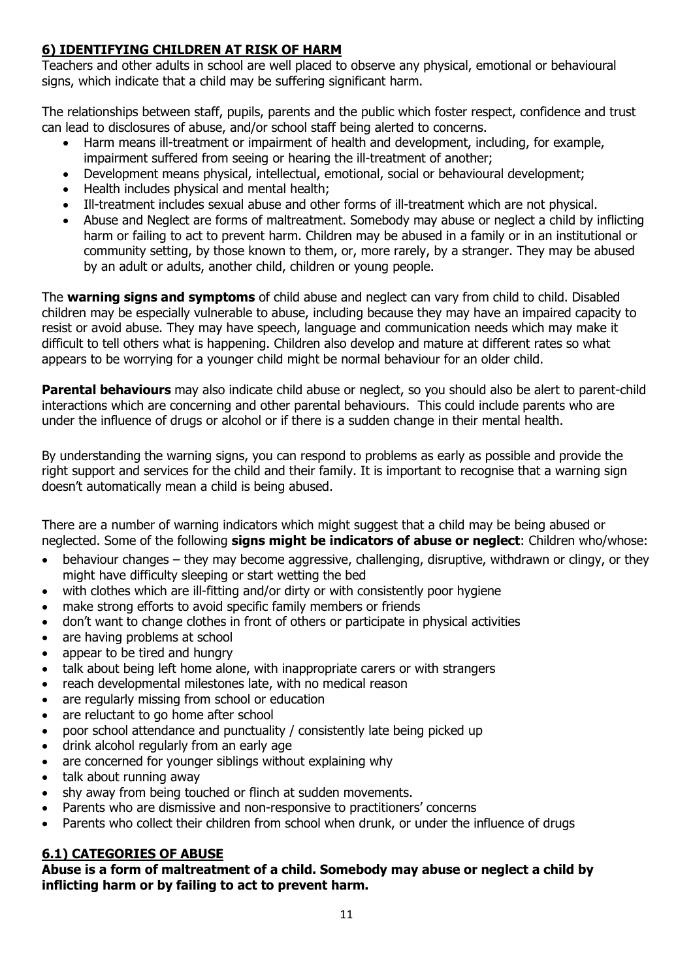# **6) IDENTIFYING CHILDREN AT RISK OF HARM**

Teachers and other adults in school are well placed to observe any physical, emotional or behavioural signs, which indicate that a child may be suffering significant harm.

The relationships between staff, pupils, parents and the public which foster respect, confidence and trust can lead to disclosures of abuse, and/or school staff being alerted to concerns.

- Harm means ill-treatment or impairment of health and development, including, for example, impairment suffered from seeing or hearing the ill-treatment of another;
- Development means physical, intellectual, emotional, social or behavioural development;
- Health includes physical and mental health;
- Ill-treatment includes sexual abuse and other forms of ill-treatment which are not physical.
- Abuse and Neglect are forms of maltreatment. Somebody may abuse or neglect a child by inflicting harm or failing to act to prevent harm. Children may be abused in a family or in an institutional or community setting, by those known to them, or, more rarely, by a stranger. They may be abused by an adult or adults, another child, children or young people.

The **warning signs and symptoms** of child abuse and neglect can vary from child to child. Disabled children may be especially vulnerable to abuse, including because they may have an impaired capacity to resist or avoid abuse. They may have speech, language and communication needs which may make it difficult to tell others what is happening. Children also develop and mature at different rates so what appears to be worrying for a younger child might be normal behaviour for an older child.

**Parental behaviours** may also indicate child abuse or neglect, so you should also be alert to parent-child interactions which are concerning and other parental behaviours. This could include parents who are under the influence of drugs or alcohol or if there is a sudden change in their mental health.

By understanding the warning signs, you can respond to problems as early as possible and provide the right support and services for the child and their family. It is important to recognise that a warning sign doesn't automatically mean a child is being abused.

There are a number of warning indicators which might suggest that a child may be being abused or neglected. Some of the following **signs might be indicators of abuse or neglect**: Children who/whose:

- behaviour changes they may become aggressive, challenging, disruptive, withdrawn or clingy, or they might have difficulty sleeping or start wetting the bed
- with clothes which are ill-fitting and/or dirty or with consistently poor hygiene
- make strong efforts to avoid specific family members or friends
- don't want to change clothes in front of others or participate in physical activities
- are having problems at school
- appear to be tired and hungry
- talk about being left home alone, with inappropriate carers or with strangers
- reach developmental milestones late, with no medical reason
- are regularly missing from school or education
- are reluctant to go home after school
- poor school attendance and punctuality / consistently late being picked up
- drink alcohol regularly from an early age
- are concerned for younger siblings without explaining why
- talk about running away
- shy away from being touched or flinch at sudden movements.
- Parents who are dismissive and non-responsive to practitioners' concerns
- Parents who collect their children from school when drunk, or under the influence of drugs

#### **6.1) CATEGORIES OF ABUSE**

**Abuse is a form of maltreatment of a child. Somebody may abuse or neglect a child by inflicting harm or by failing to act to prevent harm.**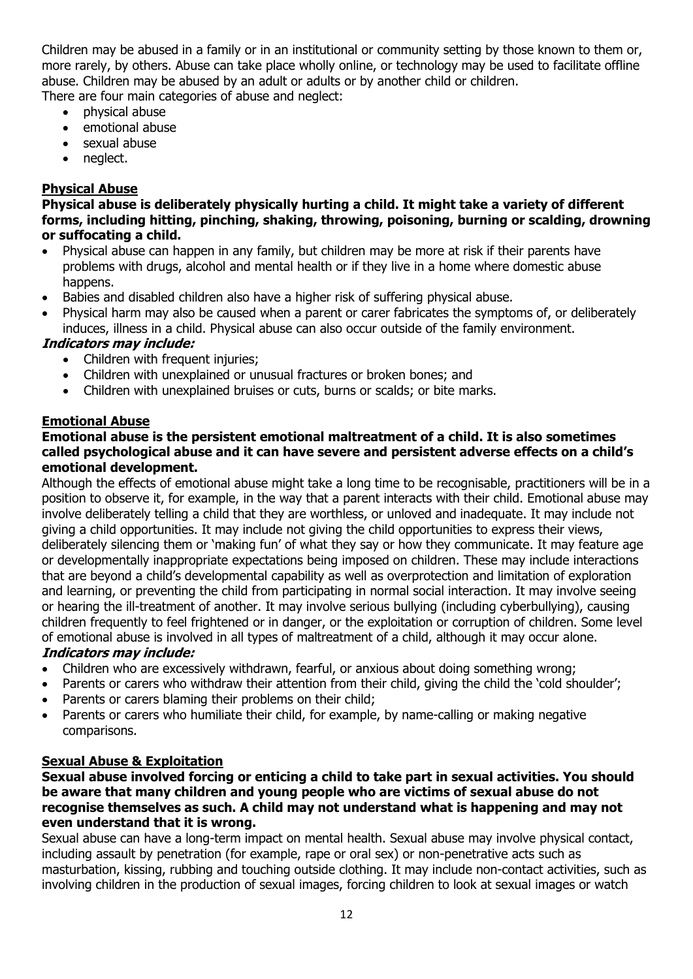Children may be abused in a family or in an institutional or community setting by those known to them or, more rarely, by others. Abuse can take place wholly online, or technology may be used to facilitate offline abuse. Children may be abused by an adult or adults or by another child or children.

There are four main categories of abuse and neglect:

- physical abuse
- emotional abuse
- sexual abuse
- neglect.

#### **Physical Abuse**

**Physical abuse is deliberately physically hurting a child. It might take a variety of different forms, including hitting, pinching, shaking, throwing, poisoning, burning or scalding, drowning or suffocating a child.** 

- Physical abuse can happen in any family, but children may be more at risk if their parents have problems with drugs, alcohol and mental health or if they live in a home where domestic abuse happens.
- Babies and disabled children also have a higher risk of suffering physical abuse.
- Physical harm may also be caused when a parent or carer fabricates the symptoms of, or deliberately induces, illness in a child. Physical abuse can also occur outside of the family environment.

#### **Indicators may include:**

- Children with frequent injuries;
- Children with unexplained or unusual fractures or broken bones; and
- Children with unexplained bruises or cuts, burns or scalds; or bite marks.

#### **Emotional Abuse**

#### **Emotional abuse is the persistent emotional maltreatment of a child. It is also sometimes called psychological abuse and it can have severe and persistent adverse effects on a child's emotional development.**

Although the effects of emotional abuse might take a long time to be recognisable, practitioners will be in a position to observe it, for example, in the way that a parent interacts with their child. Emotional abuse may involve deliberately telling a child that they are worthless, or unloved and inadequate. It may include not giving a child opportunities. It may include not giving the child opportunities to express their views, deliberately silencing them or 'making fun' of what they say or how they communicate. It may feature age or developmentally inappropriate expectations being imposed on children. These may include interactions that are beyond a child's developmental capability as well as overprotection and limitation of exploration and learning, or preventing the child from participating in normal social interaction. It may involve seeing or hearing the ill-treatment of another. It may involve serious bullying (including cyberbullying), causing children frequently to feel frightened or in danger, or the exploitation or corruption of children. Some level of emotional abuse is involved in all types of maltreatment of a child, although it may occur alone. **Indicators may include:** 

- Children who are excessively withdrawn, fearful, or anxious about doing something wrong;
- Parents or carers who withdraw their attention from their child, giving the child the 'cold shoulder';
- Parents or carers blaming their problems on their child;
- Parents or carers who humiliate their child, for example, by name-calling or making negative comparisons.

#### **Sexual Abuse & Exploitation**

**Sexual abuse involved forcing or enticing a child to take part in sexual activities. You should be aware that many children and young people who are victims of sexual abuse do not recognise themselves as such. A child may not understand what is happening and may not even understand that it is wrong.** 

Sexual abuse can have a long-term impact on mental health. Sexual abuse may involve physical contact, including assault by penetration (for example, rape or oral sex) or non-penetrative acts such as masturbation, kissing, rubbing and touching outside clothing. It may include non-contact activities, such as involving children in the production of sexual images, forcing children to look at sexual images or watch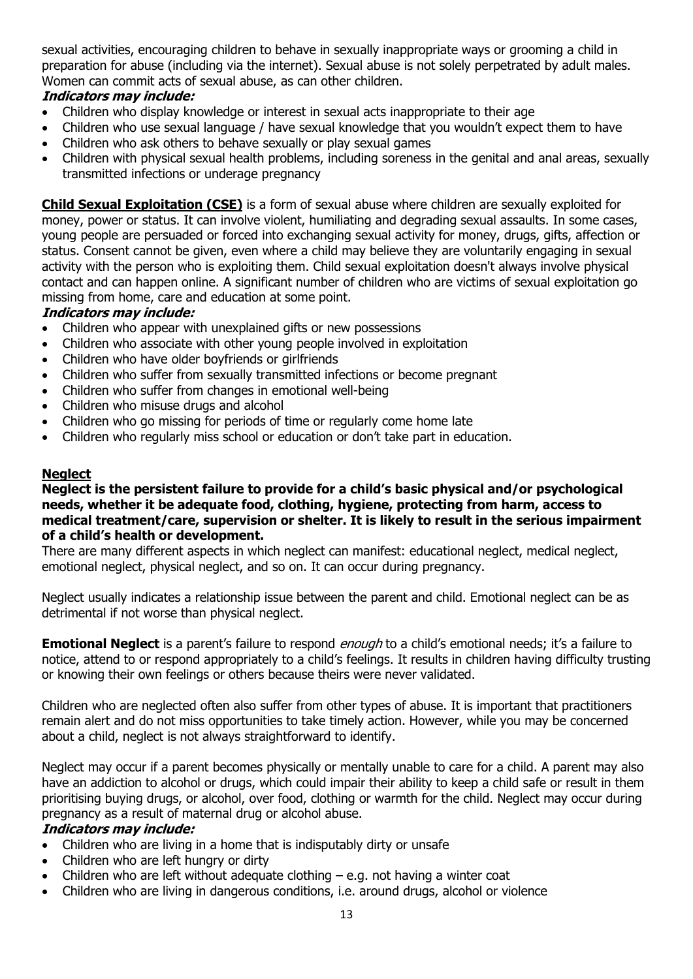sexual activities, encouraging children to behave in sexually inappropriate ways or grooming a child in preparation for abuse (including via the internet). Sexual abuse is not solely perpetrated by adult males. Women can commit acts of sexual abuse, as can other children.

#### **Indicators may include:**

- Children who display knowledge or interest in sexual acts inappropriate to their age
- Children who use sexual language / have sexual knowledge that you wouldn't expect them to have
- Children who ask others to behave sexually or play sexual games
- Children with physical sexual health problems, including soreness in the genital and anal areas, sexually transmitted infections or underage pregnancy

**Child Sexual Exploitation (CSE)** is a form of sexual abuse where children are sexually exploited for money, power or status. It can involve violent, humiliating and degrading sexual assaults. In some cases, young people are persuaded or forced into exchanging sexual activity for money, drugs, gifts, affection or status. Consent cannot be given, even where a child may believe they are voluntarily engaging in sexual activity with the person who is exploiting them. Child sexual exploitation doesn't always involve physical contact and can happen online. A significant number of children who are victims of sexual exploitation go missing from home, care and education at some point.

#### **Indicators may include:**

- Children who appear with unexplained gifts or new possessions
- Children who associate with other young people involved in exploitation
- Children who have older boyfriends or girlfriends
- Children who suffer from sexually transmitted infections or become pregnant
- Children who suffer from changes in emotional well-being
- Children who misuse drugs and alcohol
- Children who go missing for periods of time or regularly come home late
- Children who regularly miss school or education or don't take part in education.

#### **Neglect**

#### **Neglect is the persistent failure to provide for a child's basic physical and/or psychological needs, whether it be adequate food, clothing, hygiene, protecting from harm, access to medical treatment/care, supervision or shelter. It is likely to result in the serious impairment of a child's health or development.**

There are many different aspects in which neglect can manifest: educational neglect, medical neglect, emotional neglect, physical neglect, and so on. It can occur during pregnancy.

Neglect usually indicates a relationship issue between the parent and child. Emotional neglect can be as detrimental if not worse than physical neglect.

**Emotional Neglect** is a parent's failure to respond *enough* to a child's emotional needs; it's a failure to notice, attend to or respond appropriately to a child's feelings. It results in children having difficulty trusting or knowing their own feelings or others because theirs were never validated.

Children who are neglected often also suffer from other types of abuse. It is important that practitioners remain alert and do not miss opportunities to take timely action. However, while you may be concerned about a child, neglect is not always straightforward to identify.

Neglect may occur if a parent becomes physically or mentally unable to care for a child. A parent may also have an addiction to alcohol or drugs, which could impair their ability to keep a child safe or result in them prioritising buying drugs, or alcohol, over food, clothing or warmth for the child. Neglect may occur during pregnancy as a result of maternal drug or alcohol abuse.

#### **Indicators may include:**

- Children who are living in a home that is indisputably dirty or unsafe
- Children who are left hungry or dirty
- Children who are left without adequate clothing e.g. not having a winter coat
- Children who are living in dangerous conditions, i.e. around drugs, alcohol or violence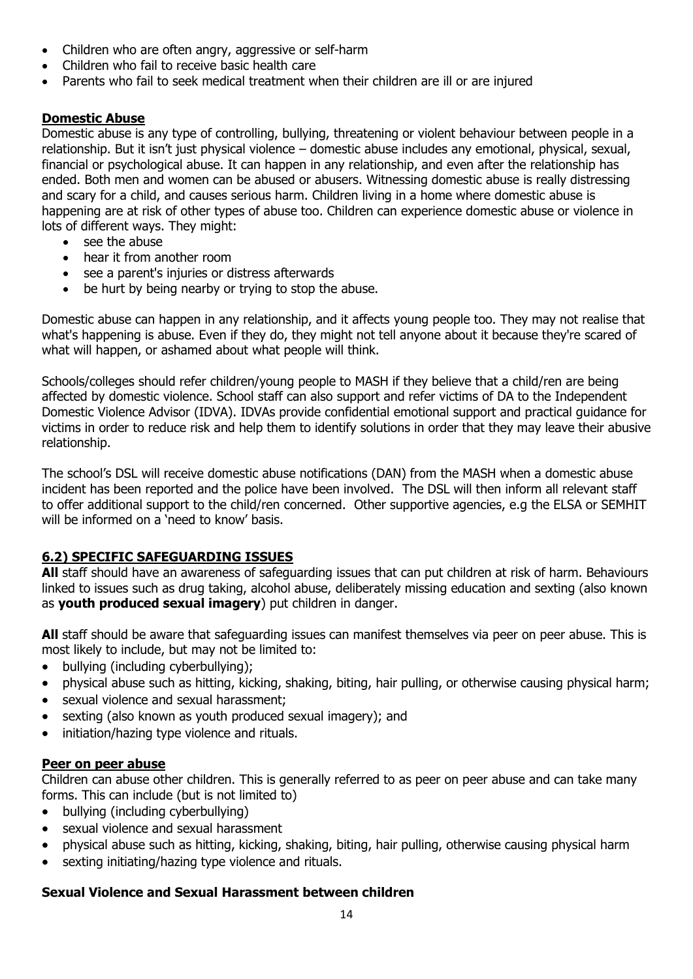- Children who are often angry, aggressive or self-harm
- Children who fail to receive basic health care
- Parents who fail to seek medical treatment when their children are ill or are injured

#### **Domestic Abuse**

Domestic abuse is any type of controlling, bullying, threatening or violent behaviour between people in a relationship. But it isn't just physical violence – domestic abuse includes any emotional, physical, sexual, financial or psychological abuse. It can happen in any relationship, and even after the relationship has ended. Both men and women can be abused or abusers. Witnessing domestic abuse is really distressing and scary for a child, and causes serious harm. Children living in a home where domestic abuse is happening are at risk of other types of abuse too. Children can experience domestic abuse or violence in lots of different ways. They might:

- see the abuse
- hear it from another room
- see a parent's injuries or distress afterwards
- be hurt by being nearby or trying to stop the abuse.

Domestic abuse can happen in any relationship, and it affects young people too. They may not realise that what's happening is abuse. Even if they do, they might not tell anyone about it because they're scared of what will happen, or ashamed about what people will think.

Schools/colleges should refer children/young people to MASH if they believe that a child/ren are being affected by domestic violence. School staff can also support and refer victims of DA to the Independent Domestic Violence Advisor (IDVA). IDVAs provide confidential emotional support and practical guidance for victims in order to reduce risk and help them to identify solutions in order that they may leave their abusive relationship.

The school's DSL will receive domestic abuse notifications (DAN) from the MASH when a domestic abuse incident has been reported and the police have been involved. The DSL will then inform all relevant staff to offer additional support to the child/ren concerned. Other supportive agencies, e.g the ELSA or SEMHIT will be informed on a 'need to know' basis.

# **6.2) SPECIFIC SAFEGUARDING ISSUES**

**All** staff should have an awareness of safeguarding issues that can put children at risk of harm. Behaviours linked to issues such as drug taking, alcohol abuse, deliberately missing education and sexting (also known as **youth produced sexual imagery**) put children in danger.

**All** staff should be aware that safeguarding issues can manifest themselves via peer on peer abuse. This is most likely to include, but may not be limited to:

- bullying (including cyberbullying);
- physical abuse such as hitting, kicking, shaking, biting, hair pulling, or otherwise causing physical harm;
- sexual violence and sexual harassment;
- sexting (also known as youth produced sexual imagery); and
- initiation/hazing type violence and rituals.

#### **Peer on peer abuse**

Children can abuse other children. This is generally referred to as peer on peer abuse and can take many forms. This can include (but is not limited to)

- bullying (including cyberbullying)
- sexual violence and sexual harassment
- physical abuse such as hitting, kicking, shaking, biting, hair pulling, otherwise causing physical harm
- sexting initiating/hazing type violence and rituals.

# **Sexual Violence and Sexual Harassment between children**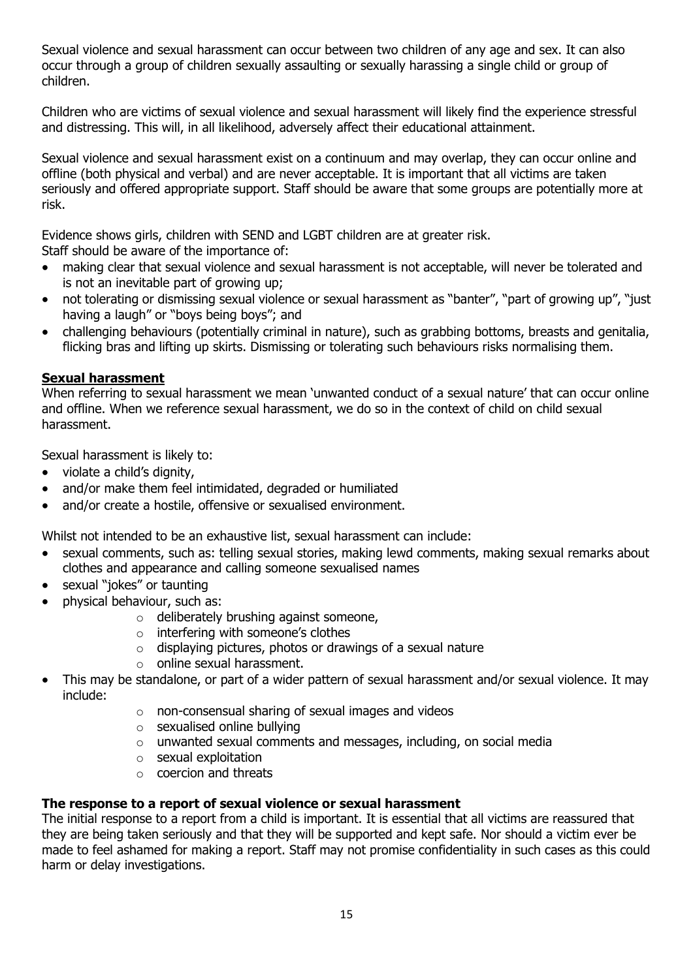Sexual violence and sexual harassment can occur between two children of any age and sex. It can also occur through a group of children sexually assaulting or sexually harassing a single child or group of children.

Children who are victims of sexual violence and sexual harassment will likely find the experience stressful and distressing. This will, in all likelihood, adversely affect their educational attainment.

Sexual violence and sexual harassment exist on a continuum and may overlap, they can occur online and offline (both physical and verbal) and are never acceptable. It is important that all victims are taken seriously and offered appropriate support. Staff should be aware that some groups are potentially more at risk.

Evidence shows girls, children with SEND and LGBT children are at greater risk.

Staff should be aware of the importance of:

- making clear that sexual violence and sexual harassment is not acceptable, will never be tolerated and is not an inevitable part of growing up;
- not tolerating or dismissing sexual violence or sexual harassment as "banter", "part of growing up", "just having a laugh" or "boys being boys"; and
- challenging behaviours (potentially criminal in nature), such as grabbing bottoms, breasts and genitalia, flicking bras and lifting up skirts. Dismissing or tolerating such behaviours risks normalising them.

#### **Sexual harassment**

When referring to sexual harassment we mean 'unwanted conduct of a sexual nature' that can occur online and offline. When we reference sexual harassment, we do so in the context of child on child sexual harassment.

Sexual harassment is likely to:

- violate a child's dignity,
- and/or make them feel intimidated, degraded or humiliated
- and/or create a hostile, offensive or sexualised environment.

Whilst not intended to be an exhaustive list, sexual harassment can include:

- sexual comments, such as: telling sexual stories, making lewd comments, making sexual remarks about clothes and appearance and calling someone sexualised names
- sexual "jokes" or taunting
- physical behaviour, such as:
	- o deliberately brushing against someone,
	- o interfering with someone's clothes
	- $\circ$  displaying pictures, photos or drawings of a sexual nature
	- o online sexual harassment.
- This may be standalone, or part of a wider pattern of sexual harassment and/or sexual violence. It may include:
	- o non-consensual sharing of sexual images and videos
	- o sexualised online bullying
	- o unwanted sexual comments and messages, including, on social media
	- o sexual exploitation
	- o coercion and threats

#### **The response to a report of sexual violence or sexual harassment**

The initial response to a report from a child is important. It is essential that all victims are reassured that they are being taken seriously and that they will be supported and kept safe. Nor should a victim ever be made to feel ashamed for making a report. Staff may not promise confidentiality in such cases as this could harm or delay investigations.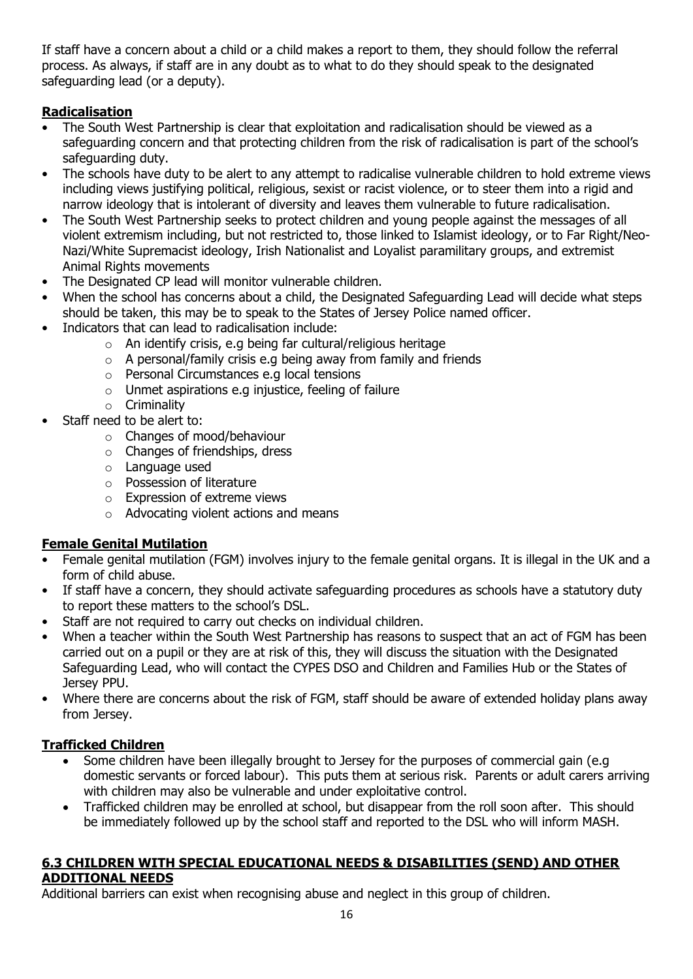If staff have a concern about a child or a child makes a report to them, they should follow the referral process. As always, if staff are in any doubt as to what to do they should speak to the designated safeguarding lead (or a deputy).

# **Radicalisation**

- The South West Partnership is clear that exploitation and radicalisation should be viewed as a safeguarding concern and that protecting children from the risk of radicalisation is part of the school's safeguarding duty.
- The schools have duty to be alert to any attempt to radicalise vulnerable children to hold extreme views including views justifying political, religious, sexist or racist violence, or to steer them into a rigid and narrow ideology that is intolerant of diversity and leaves them vulnerable to future radicalisation.
- The South West Partnership seeks to protect children and young people against the messages of all violent extremism including, but not restricted to, those linked to Islamist ideology, or to Far Right/Neo-Nazi/White Supremacist ideology, Irish Nationalist and Loyalist paramilitary groups, and extremist Animal Rights movements
- The Designated CP lead will monitor vulnerable children.
- When the school has concerns about a child, the Designated Safeguarding Lead will decide what steps should be taken, this may be to speak to the States of Jersey Police named officer.
- Indicators that can lead to radicalisation include:
	- o An identify crisis, e.g being far cultural/religious heritage
	- $\circ$  A personal/family crisis e.g being away from family and friends
	- o Personal Circumstances e.g local tensions
	- $\circ$  Unmet aspirations e.g injustice, feeling of failure
	- o Criminality
	- Staff need to be alert to:
		- o Changes of mood/behaviour
		- o Changes of friendships, dress
		- o Language used
		- o Possession of literature
		- o Expression of extreme views
		- o Advocating violent actions and means

# **Female Genital Mutilation**

- Female genital mutilation (FGM) involves injury to the female genital organs. It is illegal in the UK and a form of child abuse.
- If staff have a concern, they should activate safeguarding procedures as schools have a statutory duty to report these matters to the school's DSL.
- Staff are not required to carry out checks on individual children.
- When a teacher within the South West Partnership has reasons to suspect that an act of FGM has been carried out on a pupil or they are at risk of this, they will discuss the situation with the Designated Safeguarding Lead, who will contact the CYPES DSO and Children and Families Hub or the States of Jersey PPU.
- Where there are concerns about the risk of FGM, staff should be aware of extended holiday plans away from Jersey.

# **Trafficked Children**

- Some children have been illegally brought to Jersey for the purposes of commercial gain (e.g domestic servants or forced labour). This puts them at serious risk. Parents or adult carers arriving with children may also be vulnerable and under exploitative control.
- Trafficked children may be enrolled at school, but disappear from the roll soon after. This should be immediately followed up by the school staff and reported to the DSL who will inform MASH.

#### **6.3 CHILDREN WITH SPECIAL EDUCATIONAL NEEDS & DISABILITIES (SEND) AND OTHER ADDITIONAL NEEDS**

Additional barriers can exist when recognising abuse and neglect in this group of children.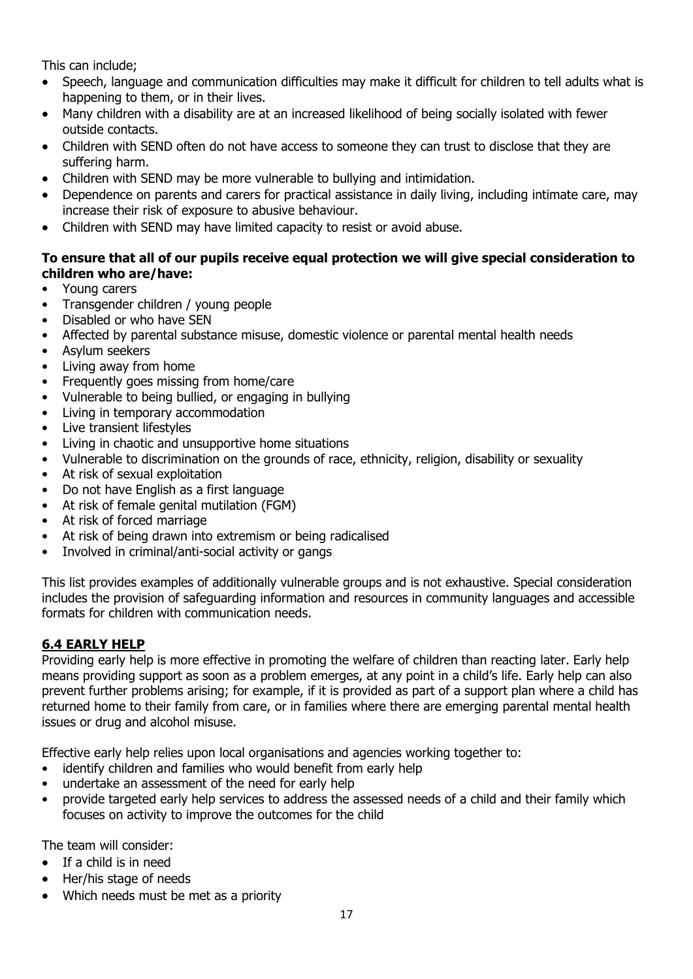This can include;

- Speech, language and communication difficulties may make it difficult for children to tell adults what is happening to them, or in their lives.
- Many children with a disability are at an increased likelihood of being socially isolated with fewer outside contacts.
- Children with SEND often do not have access to someone they can trust to disclose that they are suffering harm.
- Children with SEND may be more vulnerable to bullying and intimidation.
- Dependence on parents and carers for practical assistance in daily living, including intimate care, may increase their risk of exposure to abusive behaviour.
- Children with SEND may have limited capacity to resist or avoid abuse.

# **To ensure that all of our pupils receive equal protection we will give special consideration to children who are/have:**

- Young carers
- Transgender children / young people
- Disabled or who have SEN
- Affected by parental substance misuse, domestic violence or parental mental health needs
- Asylum seekers
- Living away from home
- Frequently goes missing from home/care
- Vulnerable to being bullied, or engaging in bullying
- Living in temporary accommodation
- Live transient lifestyles
- Living in chaotic and unsupportive home situations
- Vulnerable to discrimination on the grounds of race, ethnicity, religion, disability or sexuality
- At risk of sexual exploitation
- Do not have English as a first language
- At risk of female genital mutilation (FGM)
- At risk of forced marriage
- At risk of being drawn into extremism or being radicalised
- Involved in criminal/anti-social activity or gangs

This list provides examples of additionally vulnerable groups and is not exhaustive. Special consideration includes the provision of safeguarding information and resources in community languages and accessible formats for children with communication needs.

# **6.4 EARLY HELP**

Providing early help is more effective in promoting the welfare of children than reacting later. Early help means providing support as soon as a problem emerges, at any point in a child's life. Early help can also prevent further problems arising; for example, if it is provided as part of a support plan where a child has returned home to their family from care, or in families where there are emerging parental mental health issues or drug and alcohol misuse.

Effective early help relies upon local organisations and agencies working together to:

- identify children and families who would benefit from early help
- undertake an assessment of the need for early help
- provide targeted early help services to address the assessed needs of a child and their family which focuses on activity to improve the outcomes for the child

The team will consider:

- If a child is in need
- Her/his stage of needs
- Which needs must be met as a priority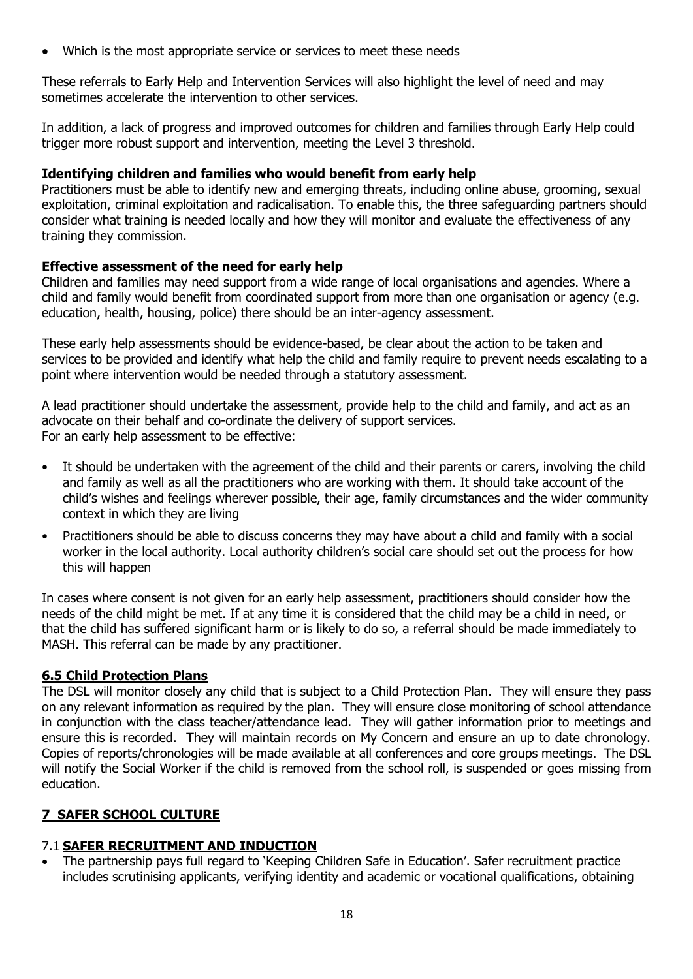• Which is the most appropriate service or services to meet these needs

These referrals to Early Help and Intervention Services will also highlight the level of need and may sometimes accelerate the intervention to other services.

In addition, a lack of progress and improved outcomes for children and families through Early Help could trigger more robust support and intervention, meeting the Level 3 threshold.

#### **Identifying children and families who would benefit from early help**

Practitioners must be able to identify new and emerging threats, including online abuse, grooming, sexual exploitation, criminal exploitation and radicalisation. To enable this, the three safeguarding partners should consider what training is needed locally and how they will monitor and evaluate the effectiveness of any training they commission.

#### **Effective assessment of the need for early help**

Children and families may need support from a wide range of local organisations and agencies. Where a child and family would benefit from coordinated support from more than one organisation or agency (e.g. education, health, housing, police) there should be an inter-agency assessment.

These early help assessments should be evidence-based, be clear about the action to be taken and services to be provided and identify what help the child and family require to prevent needs escalating to a point where intervention would be needed through a statutory assessment.

A lead practitioner should undertake the assessment, provide help to the child and family, and act as an advocate on their behalf and co-ordinate the delivery of support services. For an early help assessment to be effective:

- It should be undertaken with the agreement of the child and their parents or carers, involving the child and family as well as all the practitioners who are working with them. It should take account of the child's wishes and feelings wherever possible, their age, family circumstances and the wider community context in which they are living
- Practitioners should be able to discuss concerns they may have about a child and family with a social worker in the local authority. Local authority children's social care should set out the process for how this will happen

In cases where consent is not given for an early help assessment, practitioners should consider how the needs of the child might be met. If at any time it is considered that the child may be a child in need, or that the child has suffered significant harm or is likely to do so, a referral should be made immediately to MASH. This referral can be made by any practitioner.

#### **6.5 Child Protection Plans**

The DSL will monitor closely any child that is subject to a Child Protection Plan. They will ensure they pass on any relevant information as required by the plan. They will ensure close monitoring of school attendance in conjunction with the class teacher/attendance lead. They will gather information prior to meetings and ensure this is recorded. They will maintain records on My Concern and ensure an up to date chronology. Copies of reports/chronologies will be made available at all conferences and core groups meetings. The DSL will notify the Social Worker if the child is removed from the school roll, is suspended or goes missing from education.

#### **7 SAFER SCHOOL CULTURE**

#### 7.1 **SAFER RECRUITMENT AND INDUCTION**

The partnership pays full regard to 'Keeping Children Safe in Education'. Safer recruitment practice includes scrutinising applicants, verifying identity and academic or vocational qualifications, obtaining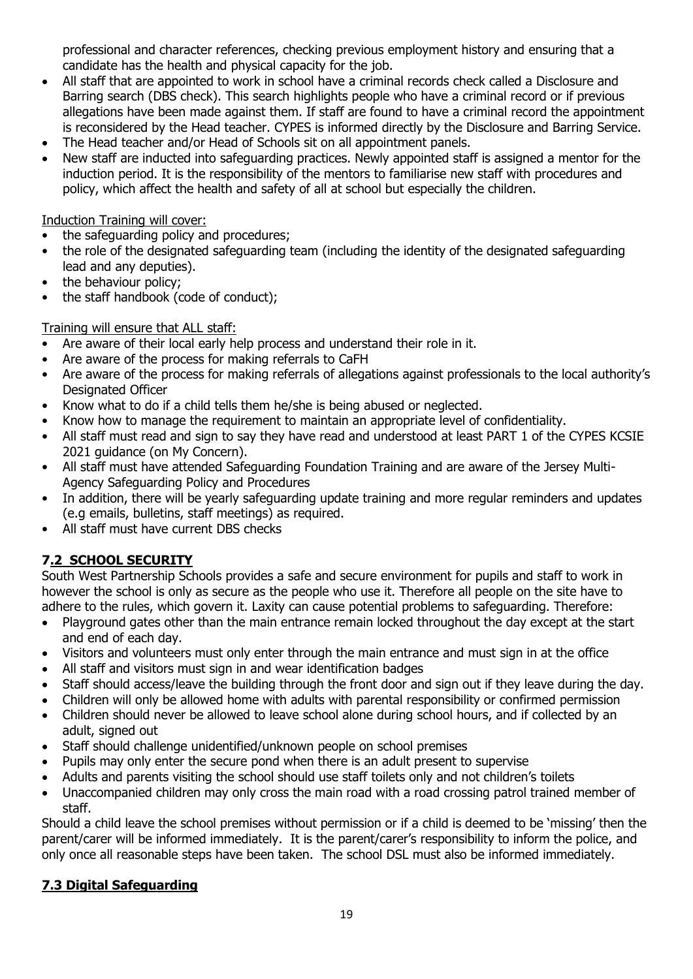professional and character references, checking previous employment history and ensuring that a candidate has the health and physical capacity for the job.

- All staff that are appointed to work in school have a criminal records check called a Disclosure and Barring search (DBS check). This search highlights people who have a criminal record or if previous allegations have been made against them. If staff are found to have a criminal record the appointment is reconsidered by the Head teacher. CYPES is informed directly by the Disclosure and Barring Service.
- The Head teacher and/or Head of Schools sit on all appointment panels.
- New staff are inducted into safeguarding practices. Newly appointed staff is assigned a mentor for the induction period. It is the responsibility of the mentors to familiarise new staff with procedures and policy, which affect the health and safety of all at school but especially the children.

Induction Training will cover:

- the safeguarding policy and procedures;
- the role of the designated safeguarding team (including the identity of the designated safeguarding lead and any deputies).
- the behaviour policy;
- the staff handbook (code of conduct);

#### Training will ensure that ALL staff:

- Are aware of their local early help process and understand their role in it.
- Are aware of the process for making referrals to CaFH
- Are aware of the process for making referrals of allegations against professionals to the local authority's Designated Officer
- Know what to do if a child tells them he/she is being abused or neglected.
- Know how to manage the requirement to maintain an appropriate level of confidentiality.
- All staff must read and sign to say they have read and understood at least PART 1 of the CYPES KCSIE 2021 guidance (on My Concern).
- All staff must have attended Safeguarding Foundation Training and are aware of the Jersey Multi-Agency Safeguarding Policy and Procedures
- In addition, there will be yearly safeguarding update training and more regular reminders and updates (e.g emails, bulletins, staff meetings) as required.
- All staff must have current DBS checks

# **7.2 SCHOOL SECURITY**

South West Partnership Schools provides a safe and secure environment for pupils and staff to work in however the school is only as secure as the people who use it. Therefore all people on the site have to adhere to the rules, which govern it. Laxity can cause potential problems to safeguarding. Therefore:

- Playground gates other than the main entrance remain locked throughout the day except at the start and end of each day.
- Visitors and volunteers must only enter through the main entrance and must sign in at the office
- All staff and visitors must sign in and wear identification badges
- Staff should access/leave the building through the front door and sign out if they leave during the day.
- Children will only be allowed home with adults with parental responsibility or confirmed permission
- Children should never be allowed to leave school alone during school hours, and if collected by an adult, signed out
- Staff should challenge unidentified/unknown people on school premises
- Pupils may only enter the secure pond when there is an adult present to supervise
- Adults and parents visiting the school should use staff toilets only and not children's toilets
- Unaccompanied children may only cross the main road with a road crossing patrol trained member of staff.

Should a child leave the school premises without permission or if a child is deemed to be 'missing' then the parent/carer will be informed immediately. It is the parent/carer's responsibility to inform the police, and only once all reasonable steps have been taken. The school DSL must also be informed immediately.

# **7.3 Digital Safeguarding**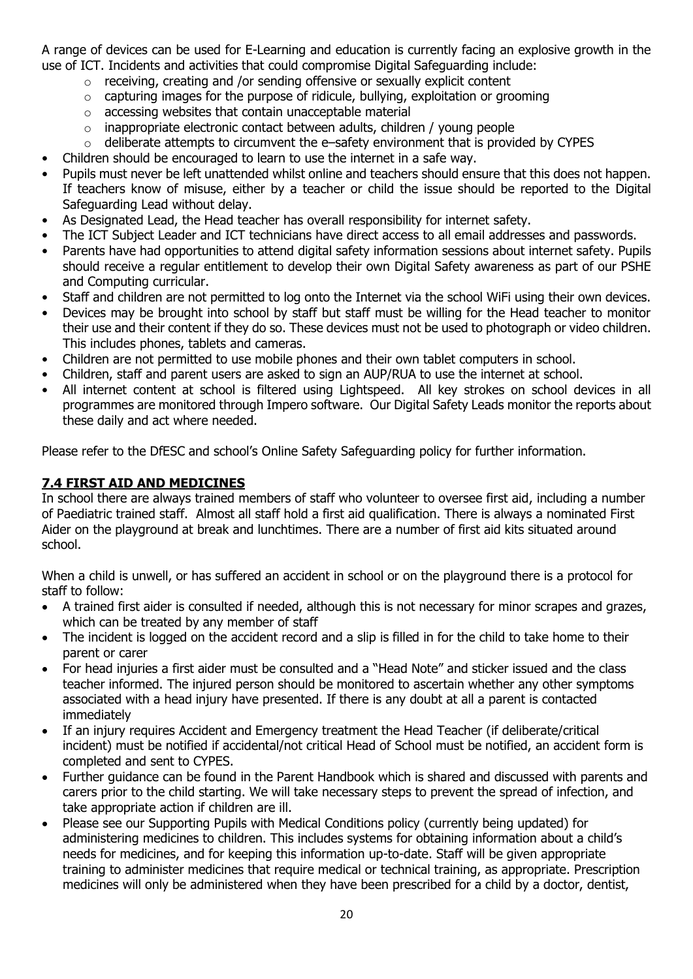A range of devices can be used for E-Learning and education is currently facing an explosive growth in the use of ICT. Incidents and activities that could compromise Digital Safeguarding include:

- o receiving, creating and /or sending offensive or sexually explicit content
- $\circ$  capturing images for the purpose of ridicule, bullying, exploitation or grooming
- o accessing websites that contain unacceptable material
- o inappropriate electronic contact between adults, children / young people
- o deliberate attempts to circumvent the e–safety environment that is provided by CYPES
- Children should be encouraged to learn to use the internet in a safe way.
- Pupils must never be left unattended whilst online and teachers should ensure that this does not happen. If teachers know of misuse, either by a teacher or child the issue should be reported to the Digital Safeguarding Lead without delay.
- As Designated Lead, the Head teacher has overall responsibility for internet safety.
- The ICT Subject Leader and ICT technicians have direct access to all email addresses and passwords.
- Parents have had opportunities to attend digital safety information sessions about internet safety. Pupils should receive a regular entitlement to develop their own Digital Safety awareness as part of our PSHE and Computing curricular.
- Staff and children are not permitted to log onto the Internet via the school WiFi using their own devices.
- Devices may be brought into school by staff but staff must be willing for the Head teacher to monitor their use and their content if they do so. These devices must not be used to photograph or video children. This includes phones, tablets and cameras.
- Children are not permitted to use mobile phones and their own tablet computers in school.
- Children, staff and parent users are asked to sign an AUP/RUA to use the internet at school.
- All internet content at school is filtered using Lightspeed. All key strokes on school devices in all programmes are monitored through Impero software. Our Digital Safety Leads monitor the reports about these daily and act where needed.

Please refer to the DfESC and school's Online Safety Safeguarding policy for further information.

# **7.4 FIRST AID AND MEDICINES**

In school there are always trained members of staff who volunteer to oversee first aid, including a number of Paediatric trained staff. Almost all staff hold a first aid qualification. There is always a nominated First Aider on the playground at break and lunchtimes. There are a number of first aid kits situated around school.

When a child is unwell, or has suffered an accident in school or on the playground there is a protocol for staff to follow:

- A trained first aider is consulted if needed, although this is not necessary for minor scrapes and grazes, which can be treated by any member of staff
- The incident is logged on the accident record and a slip is filled in for the child to take home to their parent or carer
- For head injuries a first aider must be consulted and a "Head Note" and sticker issued and the class teacher informed. The injured person should be monitored to ascertain whether any other symptoms associated with a head injury have presented. If there is any doubt at all a parent is contacted immediately
- If an injury requires Accident and Emergency treatment the Head Teacher (if deliberate/critical incident) must be notified if accidental/not critical Head of School must be notified, an accident form is completed and sent to CYPES.
- Further guidance can be found in the Parent Handbook which is shared and discussed with parents and carers prior to the child starting. We will take necessary steps to prevent the spread of infection, and take appropriate action if children are ill.
- Please see our Supporting Pupils with Medical Conditions policy (currently being updated) for administering medicines to children. This includes systems for obtaining information about a child's needs for medicines, and for keeping this information up-to-date. Staff will be given appropriate training to administer medicines that require medical or technical training, as appropriate. Prescription medicines will only be administered when they have been prescribed for a child by a doctor, dentist,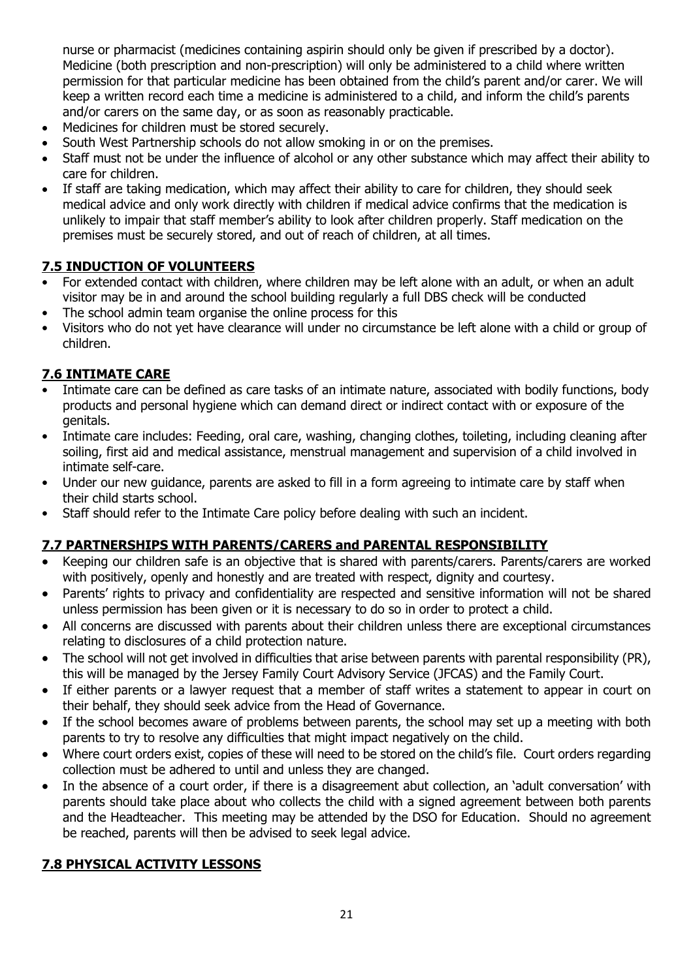nurse or pharmacist (medicines containing aspirin should only be given if prescribed by a doctor). Medicine (both prescription and non-prescription) will only be administered to a child where written permission for that particular medicine has been obtained from the child's parent and/or carer. We will keep a written record each time a medicine is administered to a child, and inform the child's parents and/or carers on the same day, or as soon as reasonably practicable.

- Medicines for children must be stored securely.
- South West Partnership schools do not allow smoking in or on the premises.
- Staff must not be under the influence of alcohol or any other substance which may affect their ability to care for children.
- If staff are taking medication, which may affect their ability to care for children, they should seek medical advice and only work directly with children if medical advice confirms that the medication is unlikely to impair that staff member's ability to look after children properly. Staff medication on the premises must be securely stored, and out of reach of children, at all times.

# **7.5 INDUCTION OF VOLUNTEERS**

- For extended contact with children, where children may be left alone with an adult, or when an adult visitor may be in and around the school building regularly a full DBS check will be conducted
- The school admin team organise the online process for this
- Visitors who do not yet have clearance will under no circumstance be left alone with a child or group of children.

#### **7.6 INTIMATE CARE**

- Intimate care can be defined as care tasks of an intimate nature, associated with bodily functions, body products and personal hygiene which can demand direct or indirect contact with or exposure of the genitals.
- Intimate care includes: Feeding, oral care, washing, changing clothes, toileting, including cleaning after soiling, first aid and medical assistance, menstrual management and supervision of a child involved in intimate self-care.
- Under our new guidance, parents are asked to fill in a form agreeing to intimate care by staff when their child starts school.
- Staff should refer to the Intimate Care policy before dealing with such an incident.

# **7.7 PARTNERSHIPS WITH PARENTS/CARERS and PARENTAL RESPONSIBILITY**

- Keeping our children safe is an objective that is shared with parents/carers. Parents/carers are worked with positively, openly and honestly and are treated with respect, dignity and courtesy.
- Parents' rights to privacy and confidentiality are respected and sensitive information will not be shared unless permission has been given or it is necessary to do so in order to protect a child.
- All concerns are discussed with parents about their children unless there are exceptional circumstances relating to disclosures of a child protection nature.
- The school will not get involved in difficulties that arise between parents with parental responsibility (PR), this will be managed by the Jersey Family Court Advisory Service (JFCAS) and the Family Court.
- If either parents or a lawyer request that a member of staff writes a statement to appear in court on their behalf, they should seek advice from the Head of Governance.
- If the school becomes aware of problems between parents, the school may set up a meeting with both parents to try to resolve any difficulties that might impact negatively on the child.
- Where court orders exist, copies of these will need to be stored on the child's file. Court orders regarding collection must be adhered to until and unless they are changed.
- In the absence of a court order, if there is a disagreement abut collection, an 'adult conversation' with parents should take place about who collects the child with a signed agreement between both parents and the Headteacher. This meeting may be attended by the DSO for Education. Should no agreement be reached, parents will then be advised to seek legal advice.

#### **7.8 PHYSICAL ACTIVITY LESSONS**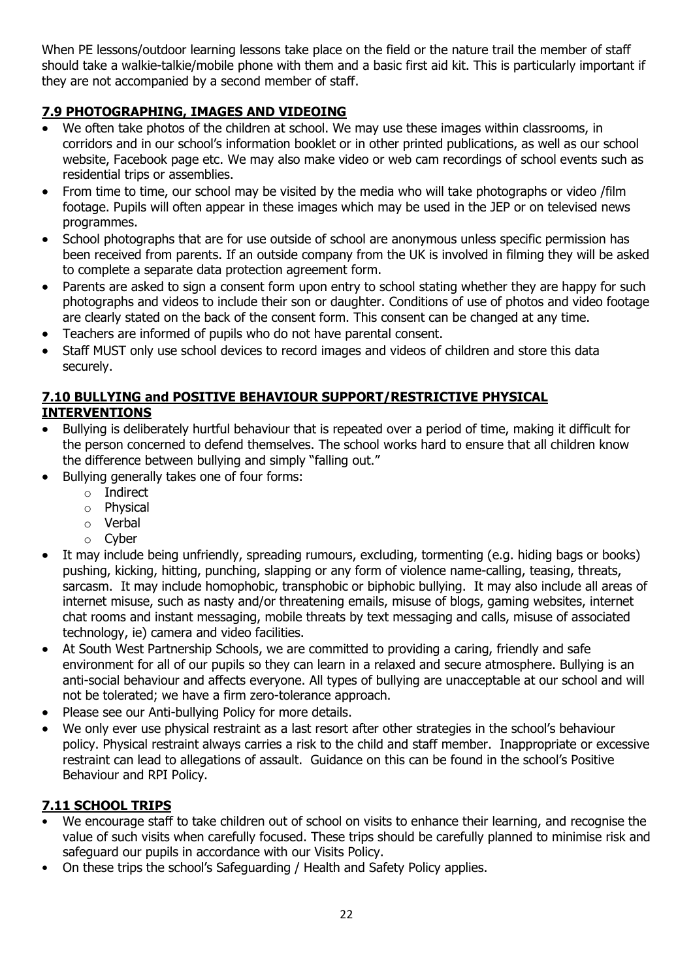When PE lessons/outdoor learning lessons take place on the field or the nature trail the member of staff should take a walkie-talkie/mobile phone with them and a basic first aid kit. This is particularly important if they are not accompanied by a second member of staff.

# **7.9 PHOTOGRAPHING, IMAGES AND VIDEOING**

- We often take photos of the children at school. We may use these images within classrooms, in corridors and in our school's information booklet or in other printed publications, as well as our school website, Facebook page etc. We may also make video or web cam recordings of school events such as residential trips or assemblies.
- From time to time, our school may be visited by the media who will take photographs or video /film footage. Pupils will often appear in these images which may be used in the JEP or on televised news programmes.
- School photographs that are for use outside of school are anonymous unless specific permission has been received from parents. If an outside company from the UK is involved in filming they will be asked to complete a separate data protection agreement form.
- Parents are asked to sign a consent form upon entry to school stating whether they are happy for such photographs and videos to include their son or daughter. Conditions of use of photos and video footage are clearly stated on the back of the consent form. This consent can be changed at any time.
- Teachers are informed of pupils who do not have parental consent.
- Staff MUST only use school devices to record images and videos of children and store this data securely.

# **7.10 BULLYING and POSITIVE BEHAVIOUR SUPPORT/RESTRICTIVE PHYSICAL INTERVENTIONS**

- Bullying is deliberately hurtful behaviour that is repeated over a period of time, making it difficult for the person concerned to defend themselves. The school works hard to ensure that all children know the difference between bullying and simply "falling out."
- Bullying generally takes one of four forms:
	- o Indirect
	- o Physical
	- o Verbal
	- o Cyber
- It may include being unfriendly, spreading rumours, excluding, tormenting (e.g. hiding bags or books) pushing, kicking, hitting, punching, slapping or any form of violence name-calling, teasing, threats, sarcasm. It may include homophobic, transphobic or biphobic bullying. It may also include all areas of internet misuse, such as nasty and/or threatening emails, misuse of blogs, gaming websites, internet chat rooms and instant messaging, mobile threats by text messaging and calls, misuse of associated technology, ie) camera and video facilities.
- At South West Partnership Schools, we are committed to providing a caring, friendly and safe environment for all of our pupils so they can learn in a relaxed and secure atmosphere. Bullying is an anti-social behaviour and affects everyone. All types of bullying are unacceptable at our school and will not be tolerated; we have a firm zero-tolerance approach.
- Please see our Anti-bullying Policy for more details.
- We only ever use physical restraint as a last resort after other strategies in the school's behaviour policy. Physical restraint always carries a risk to the child and staff member. Inappropriate or excessive restraint can lead to allegations of assault. Guidance on this can be found in the school's Positive Behaviour and RPI Policy.

# **7.11 SCHOOL TRIPS**

- We encourage staff to take children out of school on visits to enhance their learning, and recognise the value of such visits when carefully focused. These trips should be carefully planned to minimise risk and safeguard our pupils in accordance with our Visits Policy.
- On these trips the school's Safeguarding / Health and Safety Policy applies.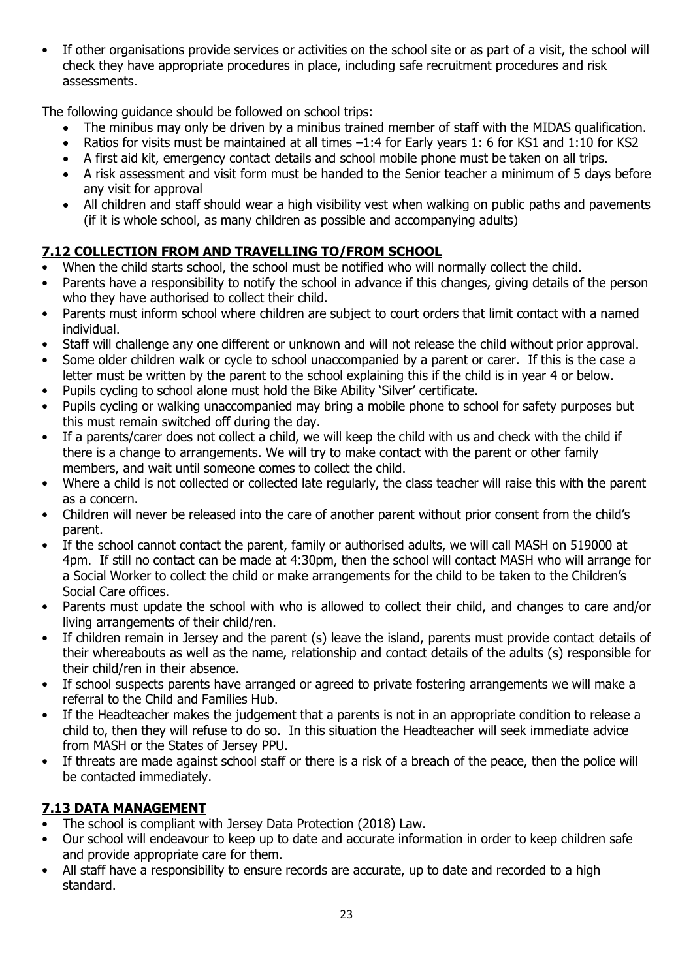If other organisations provide services or activities on the school site or as part of a visit, the school will check they have appropriate procedures in place, including safe recruitment procedures and risk assessments.

The following guidance should be followed on school trips:

- The minibus may only be driven by a minibus trained member of staff with the MIDAS qualification.
- Ratios for visits must be maintained at all times –1:4 for Early years 1: 6 for KS1 and 1:10 for KS2
- A first aid kit, emergency contact details and school mobile phone must be taken on all trips.
- A risk assessment and visit form must be handed to the Senior teacher a minimum of 5 days before any visit for approval
- All children and staff should wear a high visibility vest when walking on public paths and pavements (if it is whole school, as many children as possible and accompanying adults)

# **7.12 COLLECTION FROM AND TRAVELLING TO/FROM SCHOOL**

- When the child starts school, the school must be notified who will normally collect the child.
- Parents have a responsibility to notify the school in advance if this changes, giving details of the person who they have authorised to collect their child.
- Parents must inform school where children are subject to court orders that limit contact with a named individual.
- Staff will challenge any one different or unknown and will not release the child without prior approval.
- Some older children walk or cycle to school unaccompanied by a parent or carer. If this is the case a letter must be written by the parent to the school explaining this if the child is in year 4 or below.
- Pupils cycling to school alone must hold the Bike Ability 'Silver' certificate.
- Pupils cycling or walking unaccompanied may bring a mobile phone to school for safety purposes but this must remain switched off during the day.
- If a parents/carer does not collect a child, we will keep the child with us and check with the child if there is a change to arrangements. We will try to make contact with the parent or other family members, and wait until someone comes to collect the child.
- Where a child is not collected or collected late regularly, the class teacher will raise this with the parent as a concern.
- Children will never be released into the care of another parent without prior consent from the child's parent.
- If the school cannot contact the parent, family or authorised adults, we will call MASH on 519000 at 4pm. If still no contact can be made at 4:30pm, then the school will contact MASH who will arrange for a Social Worker to collect the child or make arrangements for the child to be taken to the Children's Social Care offices.
- Parents must update the school with who is allowed to collect their child, and changes to care and/or living arrangements of their child/ren.
- If children remain in Jersey and the parent (s) leave the island, parents must provide contact details of their whereabouts as well as the name, relationship and contact details of the adults (s) responsible for their child/ren in their absence.
- If school suspects parents have arranged or agreed to private fostering arrangements we will make a referral to the Child and Families Hub.
- If the Headteacher makes the judgement that a parents is not in an appropriate condition to release a child to, then they will refuse to do so. In this situation the Headteacher will seek immediate advice from MASH or the States of Jersey PPU.
- If threats are made against school staff or there is a risk of a breach of the peace, then the police will be contacted immediately.

# **7.13 DATA MANAGEMENT**

- The school is compliant with Jersey Data Protection (2018) Law.
- Our school will endeavour to keep up to date and accurate information in order to keep children safe and provide appropriate care for them.
- All staff have a responsibility to ensure records are accurate, up to date and recorded to a high standard.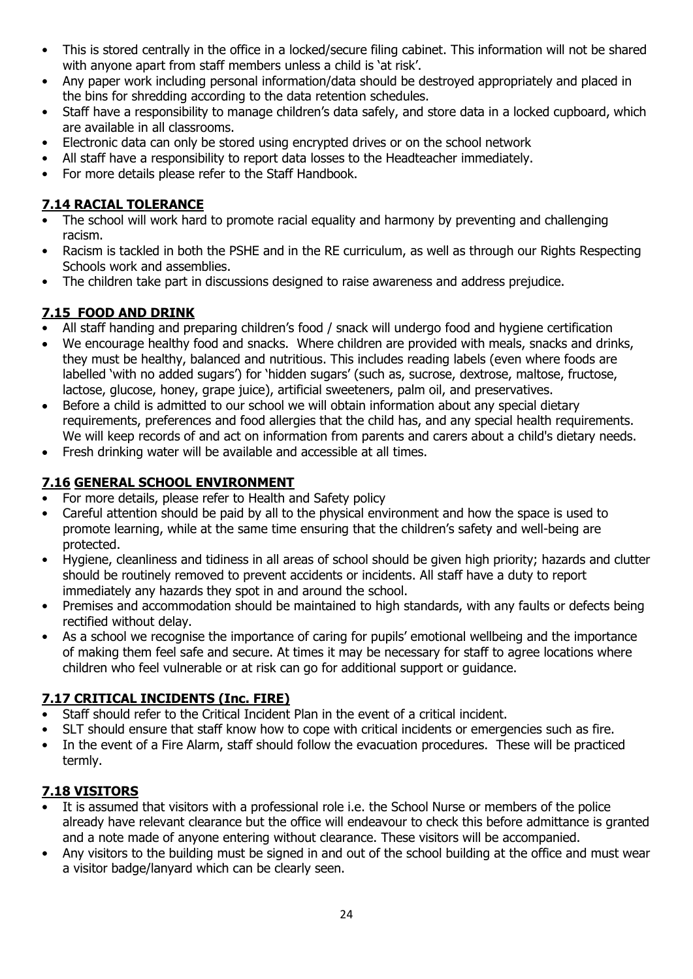- This is stored centrally in the office in a locked/secure filing cabinet. This information will not be shared with anyone apart from staff members unless a child is 'at risk'.
- Any paper work including personal information/data should be destroyed appropriately and placed in the bins for shredding according to the data retention schedules.
- Staff have a responsibility to manage children's data safely, and store data in a locked cupboard, which are available in all classrooms.
- Electronic data can only be stored using encrypted drives or on the school network
- All staff have a responsibility to report data losses to the Headteacher immediately.
- For more details please refer to the Staff Handbook.

# **7.14 RACIAL TOLERANCE**

- The school will work hard to promote racial equality and harmony by preventing and challenging racism.
- Racism is tackled in both the PSHE and in the RE curriculum, as well as through our Rights Respecting Schools work and assemblies.
- The children take part in discussions designed to raise awareness and address prejudice.

# **7.15 FOOD AND DRINK**

- All staff handing and preparing children's food / snack will undergo food and hygiene certification
- We encourage healthy food and snacks. Where children are provided with meals, snacks and drinks, they must be healthy, balanced and nutritious. This includes reading labels (even where foods are labelled 'with no added sugars') for 'hidden sugars' (such as, sucrose, dextrose, maltose, fructose, lactose, glucose, honey, grape juice), artificial sweeteners, palm oil, and preservatives.
- Before a child is admitted to our school we will obtain information about any special dietary requirements, preferences and food allergies that the child has, and any special health requirements. We will keep records of and act on information from parents and carers about a child's dietary needs.
- Fresh drinking water will be available and accessible at all times.

# **7.16 GENERAL SCHOOL ENVIRONMENT**

- For more details, please refer to Health and Safety policy
- Careful attention should be paid by all to the physical environment and how the space is used to promote learning, while at the same time ensuring that the children's safety and well-being are protected.
- Hygiene, cleanliness and tidiness in all areas of school should be given high priority; hazards and clutter should be routinely removed to prevent accidents or incidents. All staff have a duty to report immediately any hazards they spot in and around the school.
- Premises and accommodation should be maintained to high standards, with any faults or defects being rectified without delay.
- As a school we recognise the importance of caring for pupils' emotional wellbeing and the importance of making them feel safe and secure. At times it may be necessary for staff to agree locations where children who feel vulnerable or at risk can go for additional support or guidance.

# **7.17 CRITICAL INCIDENTS (Inc. FIRE)**

- Staff should refer to the Critical Incident Plan in the event of a critical incident.
- SLT should ensure that staff know how to cope with critical incidents or emergencies such as fire.
- In the event of a Fire Alarm, staff should follow the evacuation procedures. These will be practiced termly.

# **7.18 VISITORS**

- It is assumed that visitors with a professional role i.e. the School Nurse or members of the police already have relevant clearance but the office will endeavour to check this before admittance is granted and a note made of anyone entering without clearance. These visitors will be accompanied.
- Any visitors to the building must be signed in and out of the school building at the office and must wear a visitor badge/lanyard which can be clearly seen.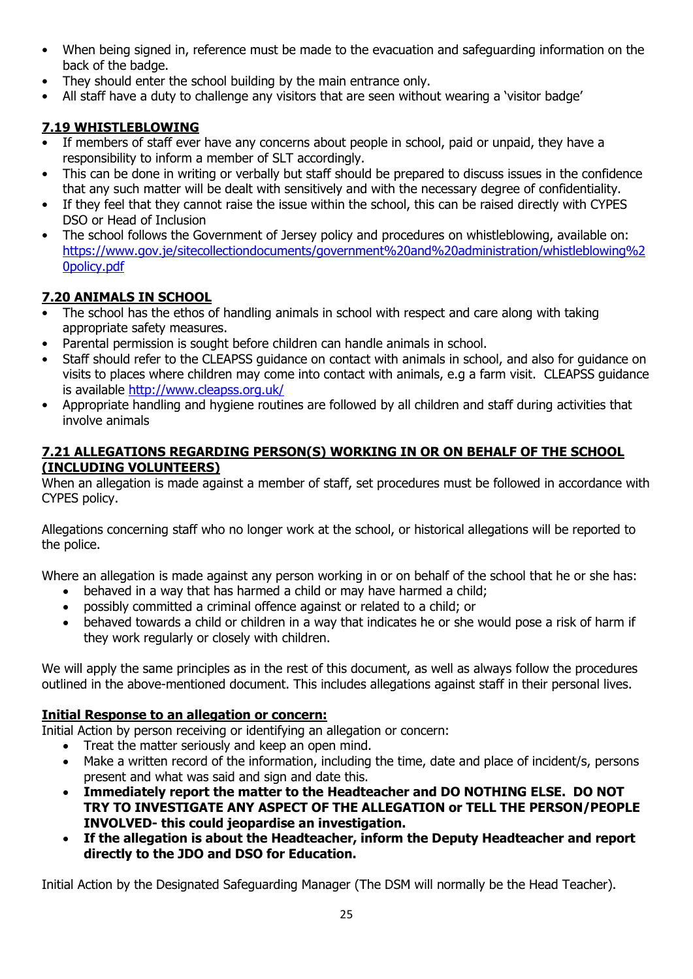- When being signed in, reference must be made to the evacuation and safeguarding information on the back of the badge.
- They should enter the school building by the main entrance only.
- All staff have a duty to challenge any visitors that are seen without wearing a 'visitor badge'

# **7.19 WHISTLEBLOWING**

- If members of staff ever have any concerns about people in school, paid or unpaid, they have a responsibility to inform a member of SLT accordingly.
- This can be done in writing or verbally but staff should be prepared to discuss issues in the confidence that any such matter will be dealt with sensitively and with the necessary degree of confidentiality.
- If they feel that they cannot raise the issue within the school, this can be raised directly with CYPES DSO or Head of Inclusion
- The school follows the Government of Jersey policy and procedures on whistleblowing, available on: [https://www.gov.je/sitecollectiondocuments/government%20and%20administration/whistleblowing%2](https://www.gov.je/sitecollectiondocuments/government%20and%20administration/whistleblowing%20policy.pdf) [0policy.pdf](https://www.gov.je/sitecollectiondocuments/government%20and%20administration/whistleblowing%20policy.pdf)

# **7.20 ANIMALS IN SCHOOL**

- The school has the ethos of handling animals in school with respect and care along with taking appropriate safety measures.
- Parental permission is sought before children can handle animals in school.
- Staff should refer to the CLEAPSS guidance on contact with animals in school, and also for guidance on visits to places where children may come into contact with animals, e.g a farm visit. CLEAPSS guidance is available<http://www.cleapss.org.uk/>
- Appropriate handling and hygiene routines are followed by all children and staff during activities that involve animals

#### **7.21 ALLEGATIONS REGARDING PERSON(S) WORKING IN OR ON BEHALF OF THE SCHOOL (INCLUDING VOLUNTEERS)**

When an allegation is made against a member of staff, set procedures must be followed in accordance with CYPES policy.

Allegations concerning staff who no longer work at the school, or historical allegations will be reported to the police.

Where an allegation is made against any person working in or on behalf of the school that he or she has:

- behaved in a way that has harmed a child or may have harmed a child;
- possibly committed a criminal offence against or related to a child; or
- behaved towards a child or children in a way that indicates he or she would pose a risk of harm if they work regularly or closely with children.

We will apply the same principles as in the rest of this document, as well as always follow the procedures outlined in the above-mentioned document. This includes allegations against staff in their personal lives.

# **Initial Response to an allegation or concern:**

Initial Action by person receiving or identifying an allegation or concern:

- Treat the matter seriously and keep an open mind.
- Make a written record of the information, including the time, date and place of incident/s, persons present and what was said and sign and date this.
- **Immediately report the matter to the Headteacher and DO NOTHING ELSE. DO NOT TRY TO INVESTIGATE ANY ASPECT OF THE ALLEGATION or TELL THE PERSON/PEOPLE INVOLVED- this could jeopardise an investigation.**
- **If the allegation is about the Headteacher, inform the Deputy Headteacher and report directly to the JDO and DSO for Education.**

Initial Action by the Designated Safeguarding Manager (The DSM will normally be the Head Teacher).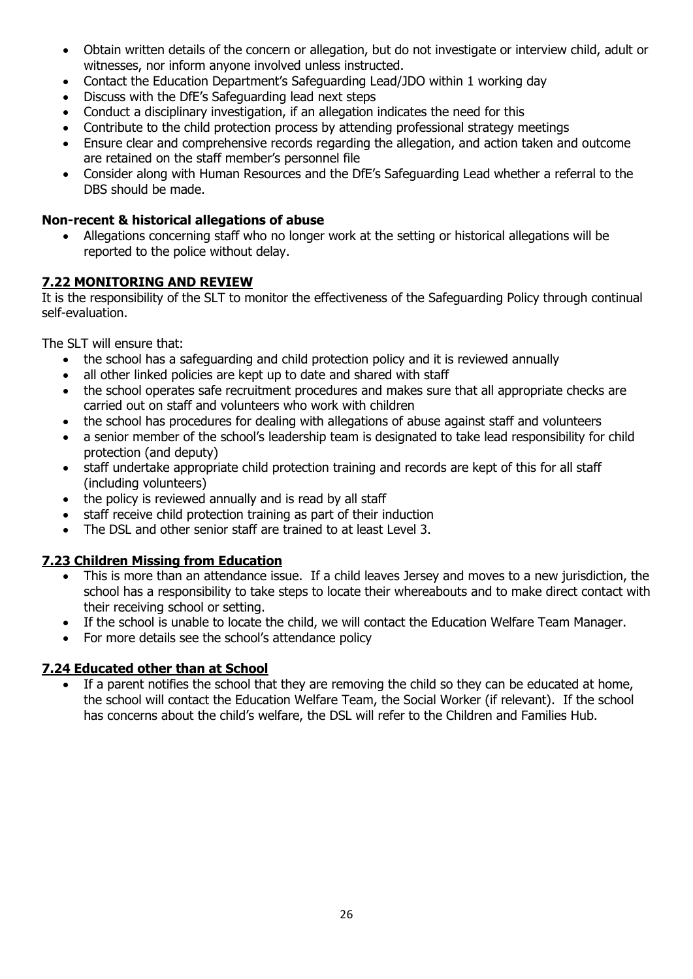- Obtain written details of the concern or allegation, but do not investigate or interview child, adult or witnesses, nor inform anyone involved unless instructed.
- Contact the Education Department's Safeguarding Lead/JDO within 1 working day
- Discuss with the DfE's Safeguarding lead next steps
- Conduct a disciplinary investigation, if an allegation indicates the need for this
- Contribute to the child protection process by attending professional strategy meetings
- Ensure clear and comprehensive records regarding the allegation, and action taken and outcome are retained on the staff member's personnel file
- Consider along with Human Resources and the DfE's Safeguarding Lead whether a referral to the DBS should be made.

#### **Non-recent & historical allegations of abuse**

• Allegations concerning staff who no longer work at the setting or historical allegations will be reported to the police without delay.

#### **7.22 MONITORING AND REVIEW**

It is the responsibility of the SLT to monitor the effectiveness of the Safeguarding Policy through continual self-evaluation.

The SLT will ensure that:

- the school has a safeguarding and child protection policy and it is reviewed annually
- all other linked policies are kept up to date and shared with staff
- the school operates safe recruitment procedures and makes sure that all appropriate checks are carried out on staff and volunteers who work with children
- the school has procedures for dealing with allegations of abuse against staff and volunteers
- a senior member of the school's leadership team is designated to take lead responsibility for child protection (and deputy)
- staff undertake appropriate child protection training and records are kept of this for all staff (including volunteers)
- the policy is reviewed annually and is read by all staff
- staff receive child protection training as part of their induction
- The DSL and other senior staff are trained to at least Level 3.

# **7.23 Children Missing from Education**

- This is more than an attendance issue. If a child leaves Jersey and moves to a new jurisdiction, the school has a responsibility to take steps to locate their whereabouts and to make direct contact with their receiving school or setting.
- If the school is unable to locate the child, we will contact the Education Welfare Team Manager.
- For more details see the school's attendance policy

#### **7.24 Educated other than at School**

If a parent notifies the school that they are removing the child so they can be educated at home, the school will contact the Education Welfare Team, the Social Worker (if relevant). If the school has concerns about the child's welfare, the DSL will refer to the Children and Families Hub.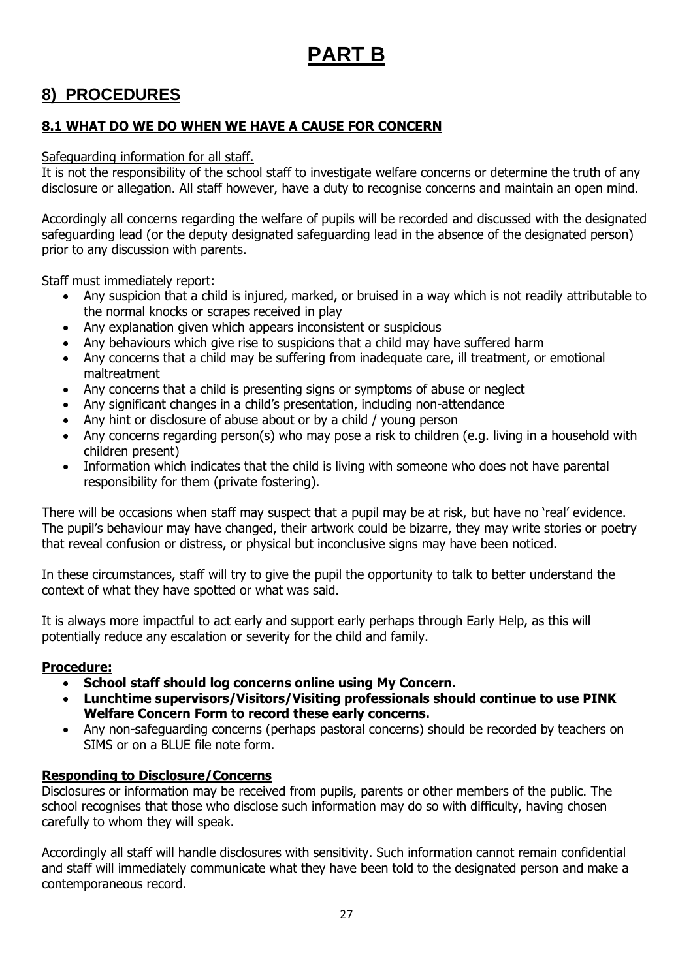# **PART B**

# **8) PROCEDURES**

# **8.1 WHAT DO WE DO WHEN WE HAVE A CAUSE FOR CONCERN**

#### Safeguarding information for all staff.

It is not the responsibility of the school staff to investigate welfare concerns or determine the truth of any disclosure or allegation. All staff however, have a duty to recognise concerns and maintain an open mind.

Accordingly all concerns regarding the welfare of pupils will be recorded and discussed with the designated safeguarding lead (or the deputy designated safeguarding lead in the absence of the designated person) prior to any discussion with parents.

Staff must immediately report:

- Any suspicion that a child is injured, marked, or bruised in a way which is not readily attributable to the normal knocks or scrapes received in play
- Any explanation given which appears inconsistent or suspicious
- Any behaviours which give rise to suspicions that a child may have suffered harm
- Any concerns that a child may be suffering from inadequate care, ill treatment, or emotional maltreatment
- Any concerns that a child is presenting signs or symptoms of abuse or neglect
- Any significant changes in a child's presentation, including non-attendance
- Any hint or disclosure of abuse about or by a child / young person
- Any concerns regarding person(s) who may pose a risk to children (e.g. living in a household with children present)
- Information which indicates that the child is living with someone who does not have parental responsibility for them (private fostering).

There will be occasions when staff may suspect that a pupil may be at risk, but have no 'real' evidence. The pupil's behaviour may have changed, their artwork could be bizarre, they may write stories or poetry that reveal confusion or distress, or physical but inconclusive signs may have been noticed.

In these circumstances, staff will try to give the pupil the opportunity to talk to better understand the context of what they have spotted or what was said.

It is always more impactful to act early and support early perhaps through Early Help, as this will potentially reduce any escalation or severity for the child and family.

#### **Procedure:**

- **School staff should log concerns online using My Concern.**
- **Lunchtime supervisors/Visitors/Visiting professionals should continue to use PINK Welfare Concern Form to record these early concerns.**
- Any non-safeguarding concerns (perhaps pastoral concerns) should be recorded by teachers on SIMS or on a BLUE file note form.

#### **Responding to Disclosure/Concerns**

Disclosures or information may be received from pupils, parents or other members of the public. The school recognises that those who disclose such information may do so with difficulty, having chosen carefully to whom they will speak.

Accordingly all staff will handle disclosures with sensitivity. Such information cannot remain confidential and staff will immediately communicate what they have been told to the designated person and make a contemporaneous record.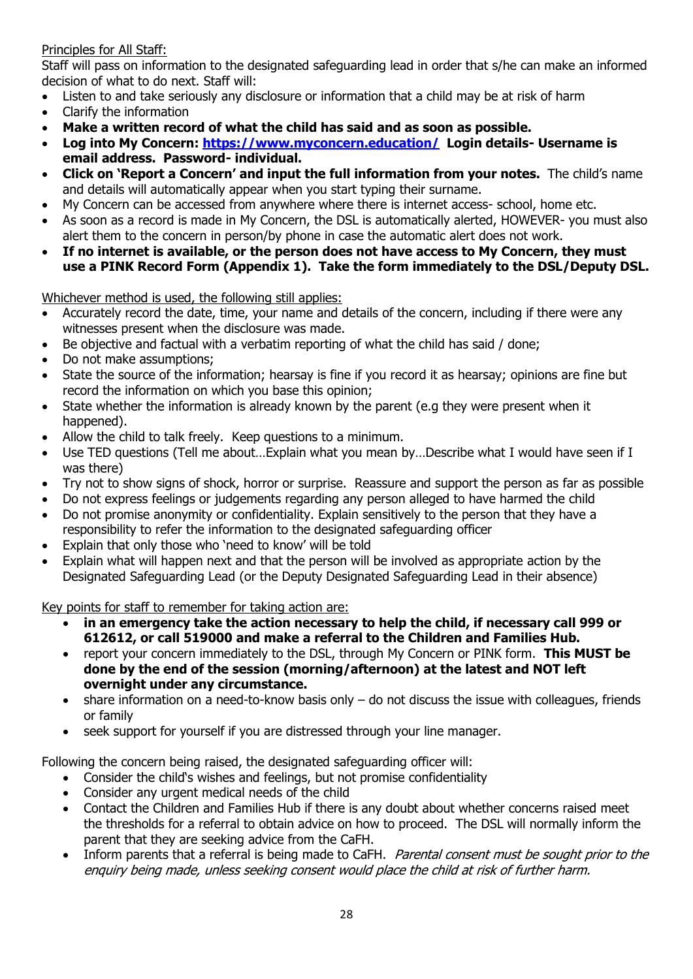# Principles for All Staff:

Staff will pass on information to the designated safeguarding lead in order that s/he can make an informed decision of what to do next. Staff will:

- Listen to and take seriously any disclosure or information that a child may be at risk of harm
- Clarify the information
- **Make a written record of what the child has said and as soon as possible.**
- **Log into My Concern:<https://www.myconcern.education/>Login details- Username is email address. Password- individual.**
- **Click on 'Report a Concern' and input the full information from your notes.** The child's name and details will automatically appear when you start typing their surname.
- My Concern can be accessed from anywhere where there is internet access- school, home etc.
- As soon as a record is made in My Concern, the DSL is automatically alerted, HOWEVER- you must also alert them to the concern in person/by phone in case the automatic alert does not work.
- **If no internet is available, or the person does not have access to My Concern, they must use a PINK Record Form (Appendix 1). Take the form immediately to the DSL/Deputy DSL.**

Whichever method is used, the following still applies:

- Accurately record the date, time, your name and details of the concern, including if there were any witnesses present when the disclosure was made.
- Be objective and factual with a verbatim reporting of what the child has said / done;
- Do not make assumptions;
- State the source of the information; hearsay is fine if you record it as hearsay; opinions are fine but record the information on which you base this opinion;
- State whether the information is already known by the parent (e.g they were present when it happened).
- Allow the child to talk freely. Keep questions to a minimum.
- Use TED questions (Tell me about... Explain what you mean by... Describe what I would have seen if I was there)
- Try not to show signs of shock, horror or surprise. Reassure and support the person as far as possible
- Do not express feelings or judgements regarding any person alleged to have harmed the child
- Do not promise anonymity or confidentiality. Explain sensitively to the person that they have a responsibility to refer the information to the designated safeguarding officer
- Explain that only those who 'need to know' will be told
- Explain what will happen next and that the person will be involved as appropriate action by the Designated Safeguarding Lead (or the Deputy Designated Safeguarding Lead in their absence)

Key points for staff to remember for taking action are:

- **in an emergency take the action necessary to help the child, if necessary call 999 or 612612, or call 519000 and make a referral to the Children and Families Hub.**
- report your concern immediately to the DSL, through My Concern or PINK form. **This MUST be done by the end of the session (morning/afternoon) at the latest and NOT left overnight under any circumstance.**
- share information on a need-to-know basis only do not discuss the issue with colleagues, friends or family
- seek support for yourself if you are distressed through your line manager.

Following the concern being raised, the designated safeguarding officer will:

- Consider the child's wishes and feelings, but not promise confidentiality
- Consider any urgent medical needs of the child
- Contact the Children and Families Hub if there is any doubt about whether concerns raised meet the thresholds for a referral to obtain advice on how to proceed. The DSL will normally inform the parent that they are seeking advice from the CaFH.
- Inform parents that a referral is being made to CaFH. Parental consent must be sought prior to the enquiry being made, unless seeking consent would place the child at risk of further harm.